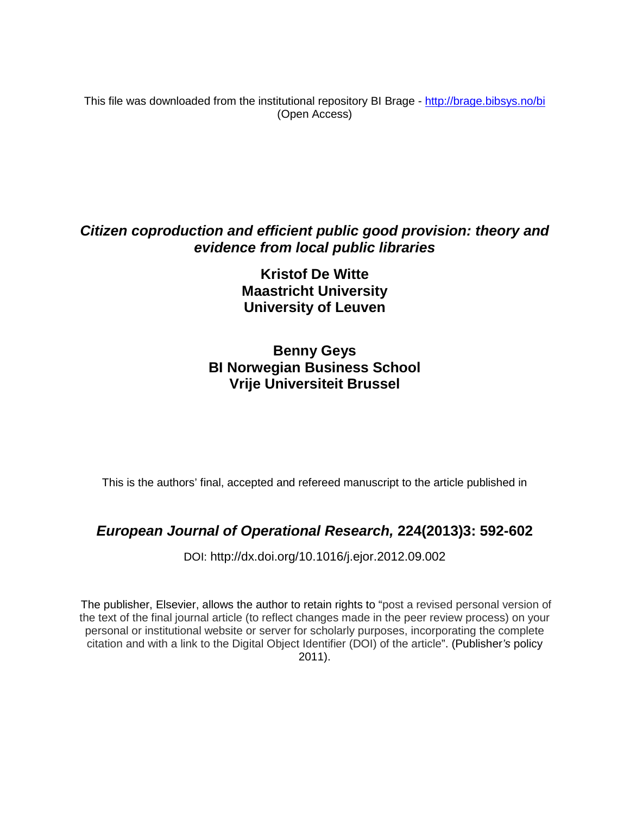This file was downloaded from the institutional repository BI Brage - <http://brage.bibsys.no/bi> (Open Access)

## *Citizen coproduction and efficient public good provision: theory and evidence from local public libraries*

**Kristof De Witte Maastricht University University of Leuven**

### **Benny Geys BI Norwegian Business School Vrije Universiteit Brussel**

This is the authors' final, accepted and refereed manuscript to the article published in

### *European Journal of Operational Research,* **224(2013)3: 592-602**

DOI: http://dx.doi.org[/10.1016/j.ejor.2012.09.002](http://dx.doi.org.ezproxy.library.bi.no/10.1016/j.ejor.2012.09.002)

The publisher, Elsevier, allows the author to retain rights to "post a revised personal version of the text of the final journal article (to reflect changes made in the peer review process) on your personal or institutional website or server for scholarly purposes, incorporating the complete citation and with a link to the Digital Object Identifier (DOI) of the article". (Publisher*'s* policy 2011).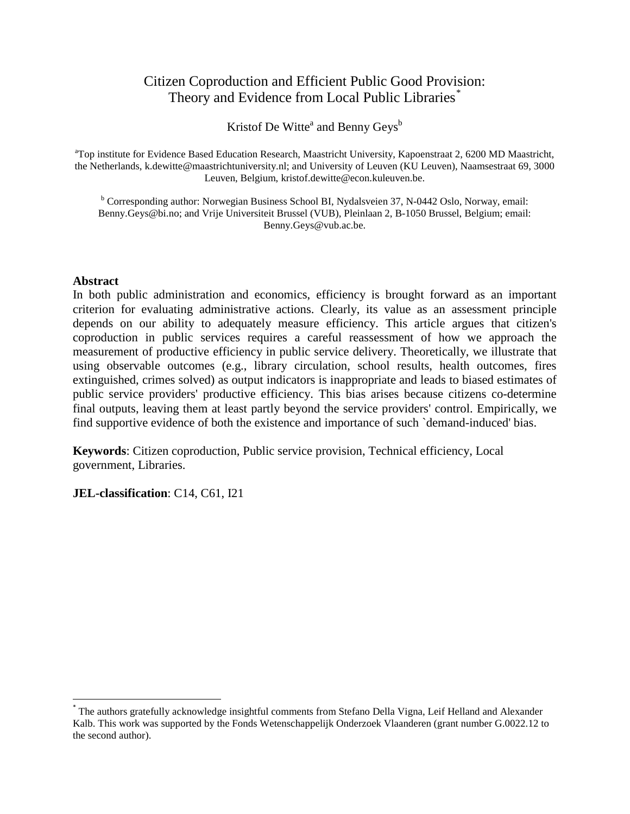#### Citizen Coproduction and Efficient Public Good Provision: Theory and Evidence from Local Public Libraries<sup>[\\*](#page-1-0)</sup>

Kristof De Witte<sup>a</sup> and Benny Geys<sup>b</sup>

<sup>a</sup>Top institute for Evidence Based Education Research, Maastricht University, Kapoenstraat 2, 6200 MD Maastricht, the Netherlands, k.dewitte@maastrichtuniversity.nl; and University of Leuven (KU Leuven), Naamsestraat 69, 3000 Leuven, Belgium, kristof.dewitte@econ.kuleuven.be.

<sup>b</sup> Corresponding author: Norwegian Business School BI, Nydalsveien 37, N-0442 Oslo, Norway, email: Benny.Geys@bi.no; and Vrije Universiteit Brussel (VUB), Pleinlaan 2, B-1050 Brussel, Belgium; email: Benny.Geys@vub.ac.be.

#### **Abstract**

In both public administration and economics, efficiency is brought forward as an important criterion for evaluating administrative actions. Clearly, its value as an assessment principle depends on our ability to adequately measure efficiency. This article argues that citizen's coproduction in public services requires a careful reassessment of how we approach the measurement of productive efficiency in public service delivery. Theoretically, we illustrate that using observable outcomes (e.g., library circulation, school results, health outcomes, fires extinguished, crimes solved) as output indicators is inappropriate and leads to biased estimates of public service providers' productive efficiency. This bias arises because citizens co-determine final outputs, leaving them at least partly beyond the service providers' control. Empirically, we find supportive evidence of both the existence and importance of such `demand-induced' bias.

**Keywords**: Citizen coproduction, Public service provision, Technical efficiency, Local government, Libraries.

**JEL-classification**: C14, C61, I21

<span id="page-1-0"></span> <sup>\*</sup> The authors gratefully acknowledge insightful comments from Stefano Della Vigna, Leif Helland and Alexander Kalb. This work was supported by the Fonds Wetenschappelijk Onderzoek Vlaanderen (grant number G.0022.12 to the second author).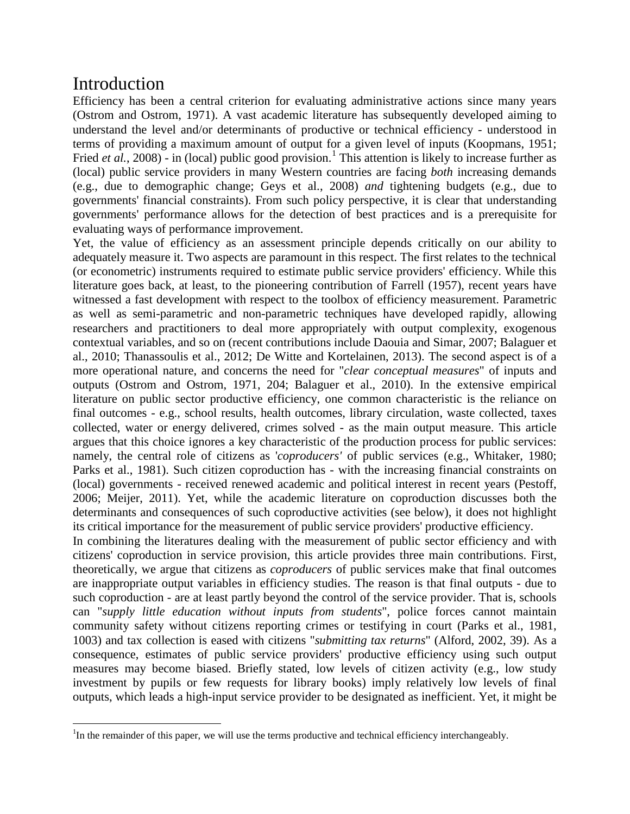# Introduction

Efficiency has been a central criterion for evaluating administrative actions since many years (Ostrom and Ostrom, 1971). A vast academic literature has subsequently developed aiming to understand the level and/or determinants of productive or technical efficiency - understood in terms of providing a maximum amount of output for a given level of inputs (Koopmans, 1951; Fried *et al.*, 2008) - in (local) public good provision.<sup>[1](#page-2-0)</sup> This attention is likely to increase further as (local) public service providers in many Western countries are facing *both* increasing demands (e.g., due to demographic change; Geys et al., 2008) *and* tightening budgets (e.g., due to governments' financial constraints). From such policy perspective, it is clear that understanding governments' performance allows for the detection of best practices and is a prerequisite for evaluating ways of performance improvement.

Yet, the value of efficiency as an assessment principle depends critically on our ability to adequately measure it. Two aspects are paramount in this respect. The first relates to the technical (or econometric) instruments required to estimate public service providers' efficiency. While this literature goes back, at least, to the pioneering contribution of Farrell (1957), recent years have witnessed a fast development with respect to the toolbox of efficiency measurement. Parametric as well as semi-parametric and non-parametric techniques have developed rapidly, allowing researchers and practitioners to deal more appropriately with output complexity, exogenous contextual variables, and so on (recent contributions include Daouia and Simar, 2007; Balaguer et al., 2010; Thanassoulis et al., 2012; De Witte and Kortelainen, 2013). The second aspect is of a more operational nature, and concerns the need for "*clear conceptual measures*" of inputs and outputs (Ostrom and Ostrom, 1971, 204; Balaguer et al., 2010). In the extensive empirical literature on public sector productive efficiency, one common characteristic is the reliance on final outcomes - e.g., school results, health outcomes, library circulation, waste collected, taxes collected, water or energy delivered, crimes solved - as the main output measure. This article argues that this choice ignores a key characteristic of the production process for public services: namely, the central role of citizens as '*coproducers'* of public services (e.g., Whitaker, 1980; Parks et al., 1981). Such citizen coproduction has - with the increasing financial constraints on (local) governments - received renewed academic and political interest in recent years (Pestoff, 2006; Meijer, 2011). Yet, while the academic literature on coproduction discusses both the determinants and consequences of such coproductive activities (see below), it does not highlight its critical importance for the measurement of public service providers' productive efficiency.

In combining the literatures dealing with the measurement of public sector efficiency and with citizens' coproduction in service provision*,* this article provides three main contributions. First, theoretically, we argue that citizens as *coproducers* of public services make that final outcomes are inappropriate output variables in efficiency studies. The reason is that final outputs - due to such coproduction - are at least partly beyond the control of the service provider. That is, schools can "*supply little education without inputs from students*", police forces cannot maintain community safety without citizens reporting crimes or testifying in court (Parks et al., 1981, 1003) and tax collection is eased with citizens "*submitting tax returns*" (Alford, 2002, 39). As a consequence, estimates of public service providers' productive efficiency using such output measures may become biased. Briefly stated, low levels of citizen activity (e.g., low study investment by pupils or few requests for library books) imply relatively low levels of final outputs, which leads a high-input service provider to be designated as inefficient. Yet, it might be

<span id="page-2-0"></span> $\frac{1}{1}$  ${}^{1}$ In the remainder of this paper, we will use the terms productive and technical efficiency interchangeably.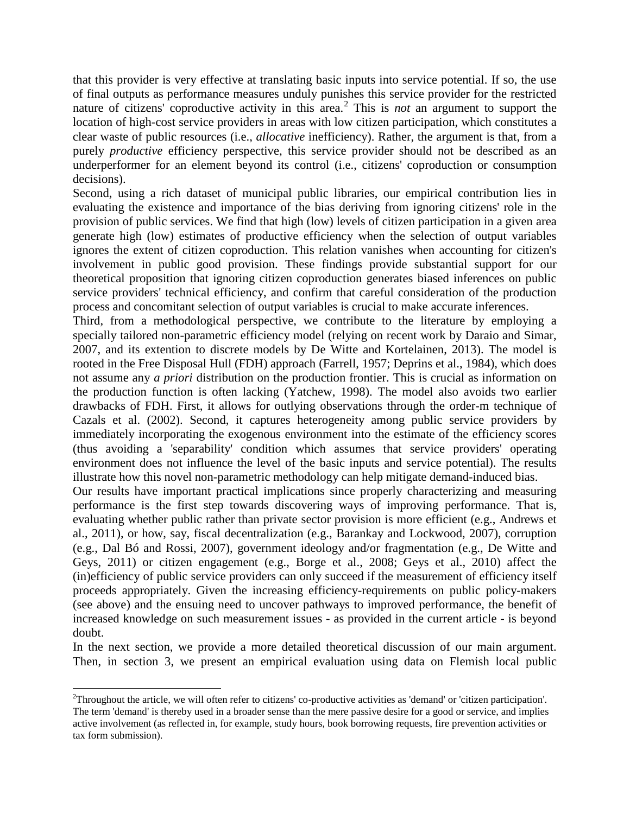that this provider is very effective at translating basic inputs into service potential. If so, the use of final outputs as performance measures unduly punishes this service provider for the restricted nature of citizens' coproductive activity in this area.<sup>[2](#page-3-0)</sup> This is *not* an argument to support the location of high-cost service providers in areas with low citizen participation, which constitutes a clear waste of public resources (i.e., *allocative* inefficiency). Rather, the argument is that, from a purely *productive* efficiency perspective, this service provider should not be described as an underperformer for an element beyond its control (i.e., citizens' coproduction or consumption decisions).

Second, using a rich dataset of municipal public libraries, our empirical contribution lies in evaluating the existence and importance of the bias deriving from ignoring citizens' role in the provision of public services. We find that high (low) levels of citizen participation in a given area generate high (low) estimates of productive efficiency when the selection of output variables ignores the extent of citizen coproduction. This relation vanishes when accounting for citizen's involvement in public good provision. These findings provide substantial support for our theoretical proposition that ignoring citizen coproduction generates biased inferences on public service providers' technical efficiency, and confirm that careful consideration of the production process and concomitant selection of output variables is crucial to make accurate inferences.

Third, from a methodological perspective, we contribute to the literature by employing a specially tailored non-parametric efficiency model (relying on recent work by Daraio and Simar, 2007, and its extention to discrete models by De Witte and Kortelainen, 2013). The model is rooted in the Free Disposal Hull (FDH) approach (Farrell, 1957; Deprins et al., 1984), which does not assume any *a priori* distribution on the production frontier. This is crucial as information on the production function is often lacking (Yatchew, 1998). The model also avoids two earlier drawbacks of FDH. First, it allows for outlying observations through the order-m technique of Cazals et al. (2002). Second, it captures heterogeneity among public service providers by immediately incorporating the exogenous environment into the estimate of the efficiency scores (thus avoiding a 'separability' condition which assumes that service providers' operating environment does not influence the level of the basic inputs and service potential). The results illustrate how this novel non-parametric methodology can help mitigate demand-induced bias.

Our results have important practical implications since properly characterizing and measuring performance is the first step towards discovering ways of improving performance. That is, evaluating whether public rather than private sector provision is more efficient (e.g., Andrews et al., 2011), or how, say, fiscal decentralization (e.g., Barankay and Lockwood, 2007), corruption (e.g., Dal Bó and Rossi, 2007), government ideology and/or fragmentation (e.g., De Witte and Geys, 2011) or citizen engagement (e.g., Borge et al., 2008; Geys et al., 2010) affect the (in)efficiency of public service providers can only succeed if the measurement of efficiency itself proceeds appropriately. Given the increasing efficiency-requirements on public policy-makers (see above) and the ensuing need to uncover pathways to improved performance, the benefit of increased knowledge on such measurement issues - as provided in the current article - is beyond doubt.

In the next section, we provide a more detailed theoretical discussion of our main argument. Then, in section 3, we present an empirical evaluation using data on Flemish local public

<span id="page-3-0"></span> $\frac{1}{2}$  $T$ Throughout the article, we will often refer to citizens' co-productive activities as 'demand' or 'citizen participation'. The term 'demand' is thereby used in a broader sense than the mere passive desire for a good or service, and implies active involvement (as reflected in, for example, study hours, book borrowing requests, fire prevention activities or tax form submission).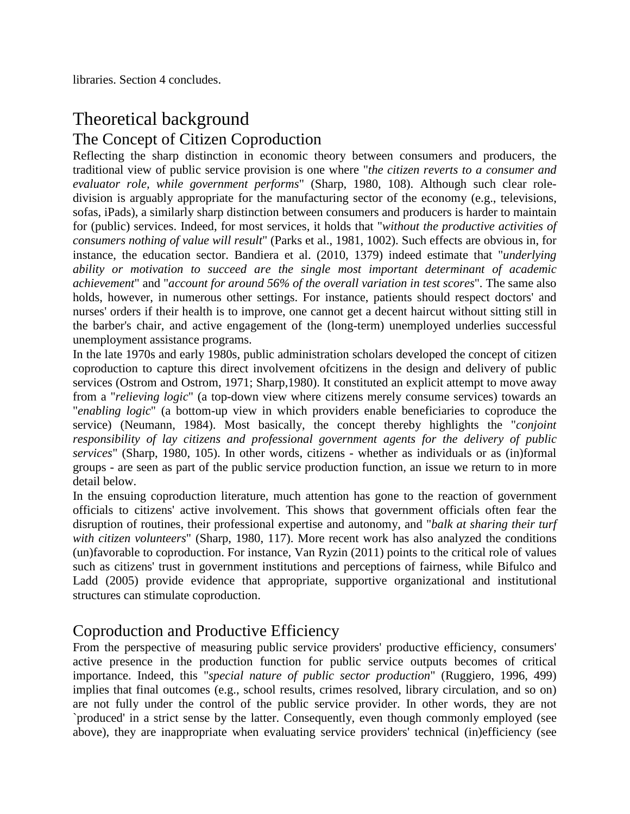libraries. Section 4 concludes.

# Theoretical background The Concept of Citizen Coproduction

Reflecting the sharp distinction in economic theory between consumers and producers, the traditional view of public service provision is one where "*the citizen reverts to a consumer and evaluator role, while government performs*" (Sharp, 1980, 108). Although such clear roledivision is arguably appropriate for the manufacturing sector of the economy (e.g., televisions, sofas, iPads), a similarly sharp distinction between consumers and producers is harder to maintain for (public) services. Indeed, for most services, it holds that "*without the productive activities of consumers nothing of value will result*" (Parks et al., 1981, 1002). Such effects are obvious in, for instance, the education sector. Bandiera et al. (2010, 1379) indeed estimate that "*underlying ability or motivation to succeed are the single most important determinant of academic achievement*" and "*account for around 56% of the overall variation in test scores*". The same also holds, however, in numerous other settings. For instance, patients should respect doctors' and nurses' orders if their health is to improve, one cannot get a decent haircut without sitting still in the barber's chair, and active engagement of the (long-term) unemployed underlies successful unemployment assistance programs.

In the late 1970s and early 1980s, public administration scholars developed the concept of citizen coproduction to capture this direct involvement ofcitizens in the design and delivery of public services (Ostrom and Ostrom, 1971; Sharp,1980). It constituted an explicit attempt to move away from a "*relieving logic*" (a top-down view where citizens merely consume services) towards an "*enabling logic*" (a bottom-up view in which providers enable beneficiaries to coproduce the service) (Neumann, 1984). Most basically, the concept thereby highlights the "*conjoint responsibility of lay citizens and professional government agents for the delivery of public services*" (Sharp, 1980, 105). In other words, citizens - whether as individuals or as (in)formal groups - are seen as part of the public service production function, an issue we return to in more detail below.

In the ensuing coproduction literature, much attention has gone to the reaction of government officials to citizens' active involvement. This shows that government officials often fear the disruption of routines, their professional expertise and autonomy, and "*balk at sharing their turf with citizen volunteers*" (Sharp, 1980, 117). More recent work has also analyzed the conditions (un)favorable to coproduction. For instance, Van Ryzin (2011) points to the critical role of values such as citizens' trust in government institutions and perceptions of fairness, while Bifulco and Ladd (2005) provide evidence that appropriate, supportive organizational and institutional structures can stimulate coproduction.

## Coproduction and Productive Efficiency

From the perspective of measuring public service providers' productive efficiency, consumers' active presence in the production function for public service outputs becomes of critical importance. Indeed, this "*special nature of public sector production*" (Ruggiero, 1996, 499) implies that final outcomes (e.g., school results, crimes resolved, library circulation, and so on) are not fully under the control of the public service provider. In other words, they are not `produced' in a strict sense by the latter. Consequently, even though commonly employed (see above), they are inappropriate when evaluating service providers' technical (in)efficiency (see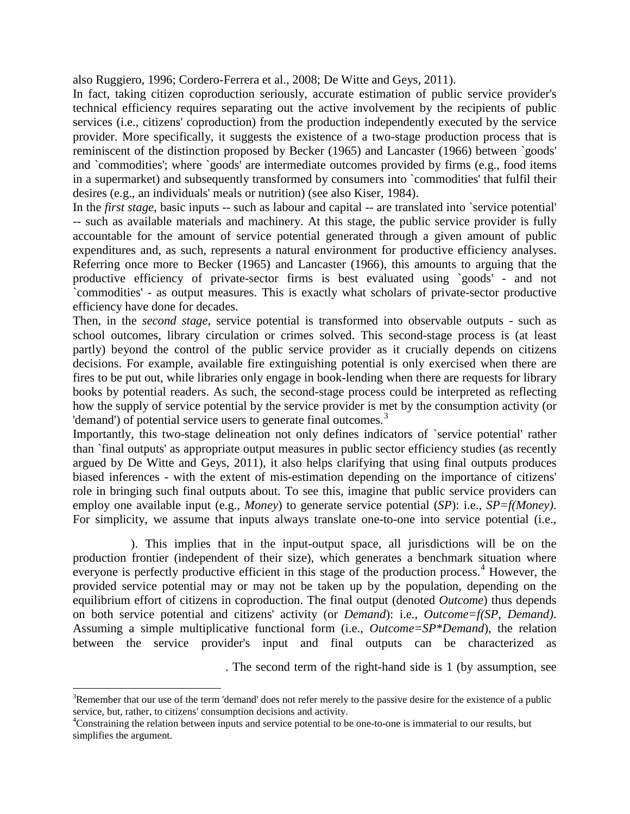also Ruggiero, 1996; Cordero-Ferrera et al., 2008; De Witte and Geys, 2011).

In fact, taking citizen coproduction seriously, accurate estimation of public service provider's technical efficiency requires separating out the active involvement by the recipients of public services (i.e., citizens' coproduction) from the production independently executed by the service provider. More specifically, it suggests the existence of a two-stage production process that is reminiscent of the distinction proposed by Becker (1965) and Lancaster (1966) between `goods' and `commodities'; where `goods' are intermediate outcomes provided by firms (e.g., food items in a supermarket) and subsequently transformed by consumers into `commodities' that fulfil their desires (e.g., an individuals' meals or nutrition) (see also Kiser, 1984).

In the *first stage*, basic inputs -- such as labour and capital -- are translated into `service potential' -- such as available materials and machinery. At this stage, the public service provider is fully accountable for the amount of service potential generated through a given amount of public expenditures and, as such, represents a natural environment for productive efficiency analyses. Referring once more to Becker (1965) and Lancaster (1966), this amounts to arguing that the productive efficiency of private-sector firms is best evaluated using `goods' - and not `commodities' - as output measures. This is exactly what scholars of private-sector productive efficiency have done for decades.

Then, in the *second stage*, service potential is transformed into observable outputs - such as school outcomes, library circulation or crimes solved. This second-stage process is (at least partly) beyond the control of the public service provider as it crucially depends on citizens decisions. For example, available fire extinguishing potential is only exercised when there are fires to be put out, while libraries only engage in book-lending when there are requests for library books by potential readers. As such, the second-stage process could be interpreted as reflecting how the supply of service potential by the service provider is met by the consumption activity (or 'demand') of potential service users to generate final outcomes.<sup>[3](#page-5-0)</sup>

Importantly, this two-stage delineation not only defines indicators of `service potential' rather than `final outputs' as appropriate output measures in public sector efficiency studies (as recently argued by De Witte and Geys, 2011), it also helps clarifying that using final outputs produces biased inferences - with the extent of mis-estimation depending on the importance of citizens' role in bringing such final outputs about. To see this, imagine that public service providers can employ one available input (e.g., *Money*) to generate service potential (*SP*): i.e., *SP=f(Money)*. For simplicity, we assume that inputs always translate one-to-one into service potential (i.e.,

). This implies that in the input-output space, all jurisdictions will be on the production frontier (independent of their size), which generates a benchmark situation where everyone is perfectly productive efficient in this stage of the production process.<sup>[4](#page-5-1)</sup> However, the provided service potential may or may not be taken up by the population, depending on the equilibrium effort of citizens in coproduction. The final output (denoted *Outcome*) thus depends on both service potential and citizens' activity (or *Demand*): i.e., *Outcome=f(SP, Demand)*. Assuming a simple multiplicative functional form (i.e., *Outcome=SP\*Demand*), the relation between the service provider's input and final outputs can be characterized as

. The second term of the right-hand side is 1 (by assumption, see

<span id="page-5-0"></span>3  $R^3$ Remember that our use of the term 'demand' does not refer merely to the passive desire for the existence of a public service, but, rather, to citizens' consumption decisions and activity.

<span id="page-5-1"></span><sup>&</sup>lt;sup>4</sup>Constraining the relation between inputs and service potential to be one-to-one is immaterial to our results, but simplifies the argument.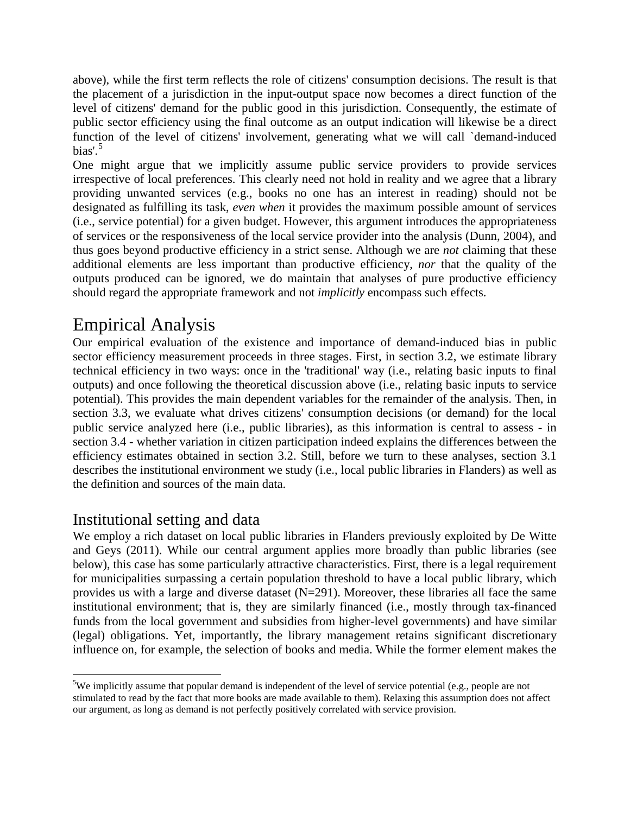above), while the first term reflects the role of citizens' consumption decisions. The result is that the placement of a jurisdiction in the input-output space now becomes a direct function of the level of citizens' demand for the public good in this jurisdiction. Consequently, the estimate of public sector efficiency using the final outcome as an output indication will likewise be a direct function of the level of citizens' involvement, generating what we will call `demand-induced bias'. $5$ 

One might argue that we implicitly assume public service providers to provide services irrespective of local preferences. This clearly need not hold in reality and we agree that a library providing unwanted services (e.g., books no one has an interest in reading) should not be designated as fulfilling its task, *even when* it provides the maximum possible amount of services (i.e., service potential) for a given budget. However, this argument introduces the appropriateness of services or the responsiveness of the local service provider into the analysis (Dunn, 2004), and thus goes beyond productive efficiency in a strict sense. Although we are *not* claiming that these additional elements are less important than productive efficiency, *nor* that the quality of the outputs produced can be ignored, we do maintain that analyses of pure productive efficiency should regard the appropriate framework and not *implicitly* encompass such effects.

# Empirical Analysis

Our empirical evaluation of the existence and importance of demand-induced bias in public sector efficiency measurement proceeds in three stages. First, in section 3.2, we estimate library technical efficiency in two ways: once in the 'traditional' way (i.e., relating basic inputs to final outputs) and once following the theoretical discussion above (i.e., relating basic inputs to service potential). This provides the main dependent variables for the remainder of the analysis. Then, in section 3.3, we evaluate what drives citizens' consumption decisions (or demand) for the local public service analyzed here (i.e., public libraries), as this information is central to assess - in section 3.4 - whether variation in citizen participation indeed explains the differences between the efficiency estimates obtained in section 3.2. Still, before we turn to these analyses, section 3.1 describes the institutional environment we study (i.e., local public libraries in Flanders) as well as the definition and sources of the main data.

## Institutional setting and data

We employ a rich dataset on local public libraries in Flanders previously exploited by De Witte and Geys (2011). While our central argument applies more broadly than public libraries (see below), this case has some particularly attractive characteristics. First, there is a legal requirement for municipalities surpassing a certain population threshold to have a local public library, which provides us with a large and diverse dataset (N=291). Moreover, these libraries all face the same institutional environment; that is, they are similarly financed (i.e., mostly through tax-financed funds from the local government and subsidies from higher-level governments) and have similar (legal) obligations. Yet, importantly, the library management retains significant discretionary influence on, for example, the selection of books and media. While the former element makes the

<span id="page-6-0"></span>5 <sup>5</sup>We implicitly assume that popular demand is independent of the level of service potential (e.g., people are not stimulated to read by the fact that more books are made available to them). Relaxing this assumption does not affect our argument, as long as demand is not perfectly positively correlated with service provision.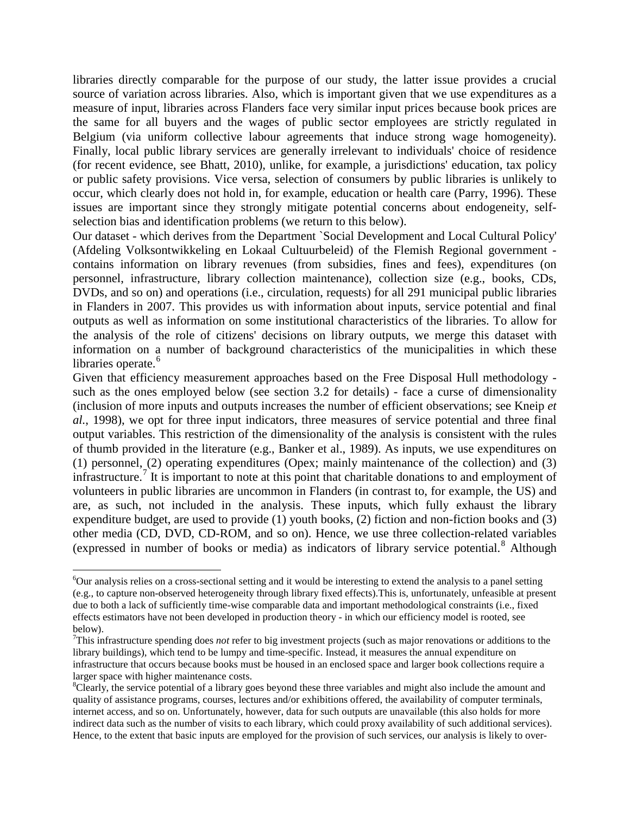libraries directly comparable for the purpose of our study, the latter issue provides a crucial source of variation across libraries. Also, which is important given that we use expenditures as a measure of input, libraries across Flanders face very similar input prices because book prices are the same for all buyers and the wages of public sector employees are strictly regulated in Belgium (via uniform collective labour agreements that induce strong wage homogeneity). Finally, local public library services are generally irrelevant to individuals' choice of residence (for recent evidence, see Bhatt, 2010), unlike, for example, a jurisdictions' education, tax policy or public safety provisions. Vice versa, selection of consumers by public libraries is unlikely to occur, which clearly does not hold in, for example, education or health care (Parry, 1996). These issues are important since they strongly mitigate potential concerns about endogeneity, selfselection bias and identification problems (we return to this below).

Our dataset - which derives from the Department `Social Development and Local Cultural Policy' (Afdeling Volksontwikkeling en Lokaal Cultuurbeleid) of the Flemish Regional government contains information on library revenues (from subsidies, fines and fees), expenditures (on personnel, infrastructure, library collection maintenance), collection size (e.g., books, CDs, DVDs, and so on) and operations (i.e., circulation, requests) for all 291 municipal public libraries in Flanders in 2007. This provides us with information about inputs, service potential and final outputs as well as information on some institutional characteristics of the libraries. To allow for the analysis of the role of citizens' decisions on library outputs, we merge this dataset with information on a number of background characteristics of the municipalities in which these libraries operate.<sup>[6](#page-7-0)</sup>

Given that efficiency measurement approaches based on the Free Disposal Hull methodology such as the ones employed below (see section 3.2 for details) - face a curse of dimensionality (inclusion of more inputs and outputs increases the number of efficient observations; see Kneip *et al.*, 1998), we opt for three input indicators, three measures of service potential and three final output variables. This restriction of the dimensionality of the analysis is consistent with the rules of thumb provided in the literature (e.g., Banker et al., 1989). As inputs, we use expenditures on (1) personnel, (2) operating expenditures (Opex; mainly maintenance of the collection) and (3) infrastructure.<sup>[7](#page-7-1)</sup> It is important to note at this point that charitable donations to and employment of volunteers in public libraries are uncommon in Flanders (in contrast to, for example, the US) and are, as such, not included in the analysis. These inputs, which fully exhaust the library expenditure budget, are used to provide (1) youth books, (2) fiction and non-fiction books and (3) other media (CD, DVD, CD-ROM, and so on). Hence, we use three collection-related variables (expressed in number of books or media) as indicators of library service potential.<sup>[8](#page-7-2)</sup> Although

<span id="page-7-0"></span>6  $\delta$ Our analysis relies on a cross-sectional setting and it would be interesting to extend the analysis to a panel setting (e.g., to capture non-observed heterogeneity through library fixed effects).This is, unfortunately, unfeasible at present due to both a lack of sufficiently time-wise comparable data and important methodological constraints (i.e., fixed effects estimators have not been developed in production theory - in which our efficiency model is rooted, see below).

<span id="page-7-1"></span><sup>7</sup> This infrastructure spending does *not* refer to big investment projects (such as major renovations or additions to the library buildings), which tend to be lumpy and time-specific. Instead, it measures the annual expenditure on infrastructure that occurs because books must be housed in an enclosed space and larger book collections require a larger space with higher maintenance costs.

<span id="page-7-2"></span> $C$ learly, the service potential of a library goes beyond these three variables and might also include the amount and quality of assistance programs, courses, lectures and/or exhibitions offered, the availability of computer terminals, internet access, and so on. Unfortunately, however, data for such outputs are unavailable (this also holds for more indirect data such as the number of visits to each library, which could proxy availability of such additional services). Hence, to the extent that basic inputs are employed for the provision of such services, our analysis is likely to over-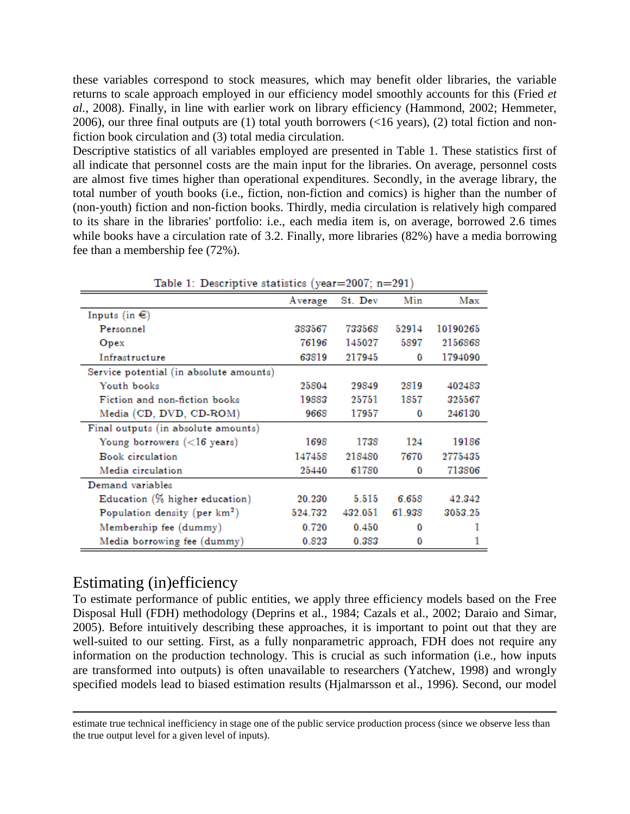these variables correspond to stock measures, which may benefit older libraries, the variable returns to scale approach employed in our efficiency model smoothly accounts for this (Fried *et al.*, 2008). Finally, in line with earlier work on library efficiency (Hammond, 2002; Hemmeter, 2006), our three final outputs are (1) total youth borrowers (<16 years), (2) total fiction and nonfiction book circulation and (3) total media circulation.

Descriptive statistics of all variables employed are presented in Table 1. These statistics first of all indicate that personnel costs are the main input for the libraries. On average, personnel costs are almost five times higher than operational expenditures. Secondly, in the average library, the total number of youth books (i.e., fiction, non-fiction and comics) is higher than the number of (non-youth) fiction and non-fiction books. Thirdly, media circulation is relatively high compared to its share in the libraries' portfolio: i.e., each media item is, on average, borrowed 2.6 times while books have a circulation rate of 3.2. Finally, more libraries (82%) have a media borrowing fee than a membership fee (72%).

| rable 1. Descriptive statistics (year-2001, $n = 291$ ) |         |         |        |          |
|---------------------------------------------------------|---------|---------|--------|----------|
|                                                         | Average | St. Dev | Min    | Max      |
| Inputs (in $\in$ )                                      |         |         |        |          |
| Personnel                                               | 383567  | 733568  | 52914  | 10190265 |
| Opex                                                    | 76196   | 145027  | 5897   | 2156868  |
| Infrastructure                                          | 63819   | 217945  | 0      | 1794090  |
| Service potential (in absolute amounts)                 |         |         |        |          |
| Youth books                                             | 25804   | 29849   | 2819   | 402483   |
| Fiction and non-fiction books                           | 19883   | 25751   | 1857   | 325567   |
| Media (CD, DVD, CD-ROM)                                 | 9668    | 17957   | 0      | 246130   |
| Final outputs (in absolute amounts)                     |         |         |        |          |
| Young borrowers $(<$ 16 years)                          | 1698    | 1738    | 124    | 19186    |
| <b>Book</b> circulation                                 | 147458  | 218480  | 7670   | 2775435  |
| Media circulation                                       | 25440   | 61780   | 0      | 713806   |
| Demand variables                                        |         |         |        |          |
| Education (% higher education)                          | 20.230  | 5.515   | 6.658  | 42.342   |
| Population density (per km <sup>2</sup> )               | 524.732 | 432.051 | 61.938 | 3053.25  |
| Membership fee (dummy)                                  | 0.720   | 0.450   | 0      |          |
| Media borrowing fee (dummy)                             | 0.823   | 0.383   | 0      |          |

Table 1: Descriptive statistics (vear= $2007: n=291$ )

### Estimating (in)efficiency

 $\overline{a}$ 

To estimate performance of public entities, we apply three efficiency models based on the Free Disposal Hull (FDH) methodology (Deprins et al., 1984; Cazals et al., 2002; Daraio and Simar, 2005). Before intuitively describing these approaches, it is important to point out that they are well-suited to our setting. First, as a fully nonparametric approach, FDH does not require any information on the production technology. This is crucial as such information (i.e., how inputs are transformed into outputs) is often unavailable to researchers (Yatchew, 1998) and wrongly specified models lead to biased estimation results (Hjalmarsson et al., 1996). Second, our model

estimate true technical inefficiency in stage one of the public service production process (since we observe less than the true output level for a given level of inputs).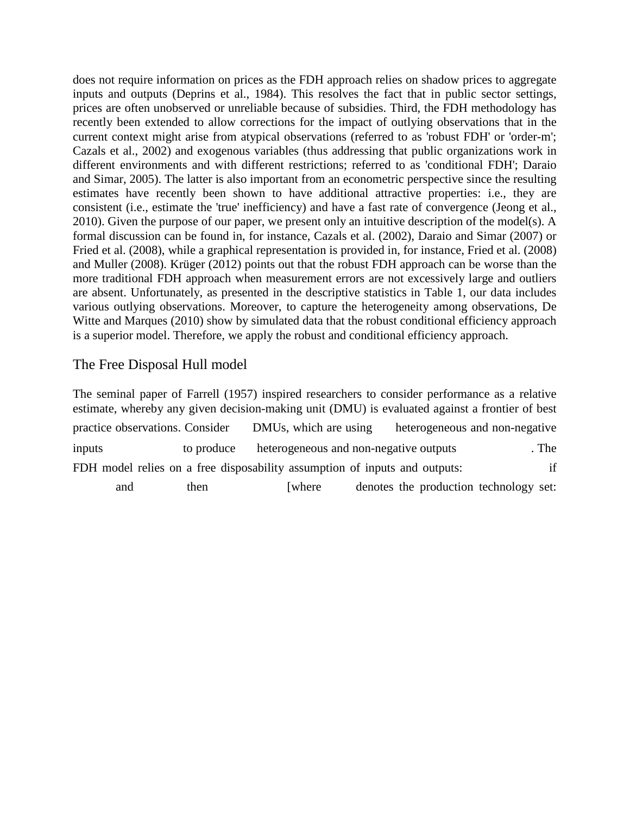does not require information on prices as the FDH approach relies on shadow prices to aggregate inputs and outputs (Deprins et al., 1984). This resolves the fact that in public sector settings, prices are often unobserved or unreliable because of subsidies. Third, the FDH methodology has recently been extended to allow corrections for the impact of outlying observations that in the current context might arise from atypical observations (referred to as 'robust FDH' or 'order-m'; Cazals et al., 2002) and exogenous variables (thus addressing that public organizations work in different environments and with different restrictions; referred to as 'conditional FDH'; Daraio and Simar, 2005). The latter is also important from an econometric perspective since the resulting estimates have recently been shown to have additional attractive properties: i.e., they are consistent (i.e., estimate the 'true' inefficiency) and have a fast rate of convergence (Jeong et al., 2010). Given the purpose of our paper, we present only an intuitive description of the model(s). A formal discussion can be found in, for instance, Cazals et al. (2002), Daraio and Simar (2007) or Fried et al. (2008), while a graphical representation is provided in, for instance, Fried et al. (2008) and Muller (2008). Krüger (2012) points out that the robust FDH approach can be worse than the more traditional FDH approach when measurement errors are not excessively large and outliers are absent. Unfortunately, as presented in the descriptive statistics in Table 1, our data includes various outlying observations. Moreover, to capture the heterogeneity among observations, De Witte and Marques (2010) show by simulated data that the robust conditional efficiency approach is a superior model. Therefore, we apply the robust and conditional efficiency approach.

#### The Free Disposal Hull model

The seminal paper of Farrell (1957) inspired researchers to consider performance as a relative estimate, whereby any given decision-making unit (DMU) is evaluated against a frontier of best practice observations. Consider DMUs, which are using heterogeneous and non-negative inputs to produce heterogeneous and non-negative outputs . The FDH model relies on a free disposability assumption of inputs and outputs: if and then [where denotes the production technology set: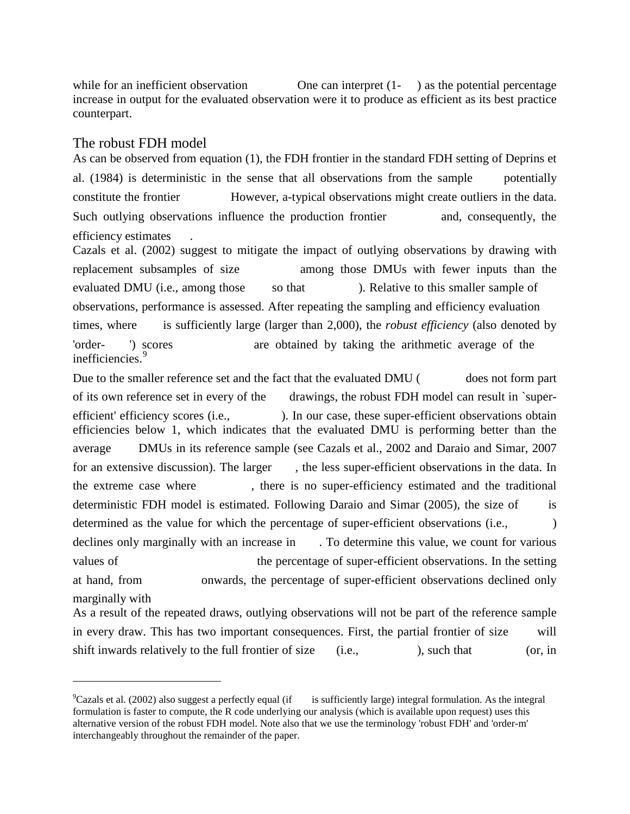while for an inefficient observation One can interpret (1-) as the potential percentage increase in output for the evaluated observation were it to produce as efficient as its best practice counterpart.

#### The robust FDH model

 $\overline{a}$ 

As can be observed from equation (1), the FDH frontier in the standard FDH setting of Deprins et al. (1984) is deterministic in the sense that all observations from the sample potentially constitute the frontier However, a-typical observations might create outliers in the data. Such outlying observations influence the production frontier and, consequently, the efficiency estimates .

Cazals et al. (2002) suggest to mitigate the impact of outlying observations by drawing with replacement subsamples of size among those DMUs with fewer inputs than the evaluated DMU (i.e., among those so that ). Relative to this smaller sample of observations, performance is assessed. After repeating the sampling and efficiency evaluation times, where is sufficiently large (larger than 2,000), the *robust efficiency* (also denoted by 'order- ') scores are obtained by taking the arithmetic average of the inefficiencies.<sup>[9](#page-10-0)</sup>

Due to the smaller reference set and the fact that the evaluated DMU (does not form part of its own reference set in every of the drawings, the robust FDH model can result in `superefficient' efficiency scores (i.e., ). In our case, these super-efficient observations obtain efficiencies below 1, which indicates that the evaluated DMU is performing better than the average DMUs in its reference sample (see Cazals et al., 2002 and Daraio and Simar, 2007 for an extensive discussion). The larger, the less super-efficient observations in the data. In the extreme case where , there is no super-efficiency estimated and the traditional deterministic FDH model is estimated. Following Daraio and Simar (2005), the size of is determined as the value for which the percentage of super-efficient observations (i.e.,  $\qquad \qquad$ ) declines only marginally with an increase in . To determine this value, we count for various values of the percentage of super-efficient observations. In the setting at hand, from onwards, the percentage of super-efficient observations declined only marginally with

As a result of the repeated draws, outlying observations will not be part of the reference sample in every draw. This has two important consequences. First, the partial frontier of size will shift inwards relatively to the full frontier of size (i.e., ), such that (or, in

<span id="page-10-0"></span> $^9$ Cazals et al. (2002) also suggest a perfectly equal (if is sufficiently large) integral formulation. As the integral formulation is faster to compute, the R code underlying our analysis (which is available upon request) uses this alternative version of the robust FDH model. Note also that we use the terminology 'robust FDH' and 'order-m' interchangeably throughout the remainder of the paper.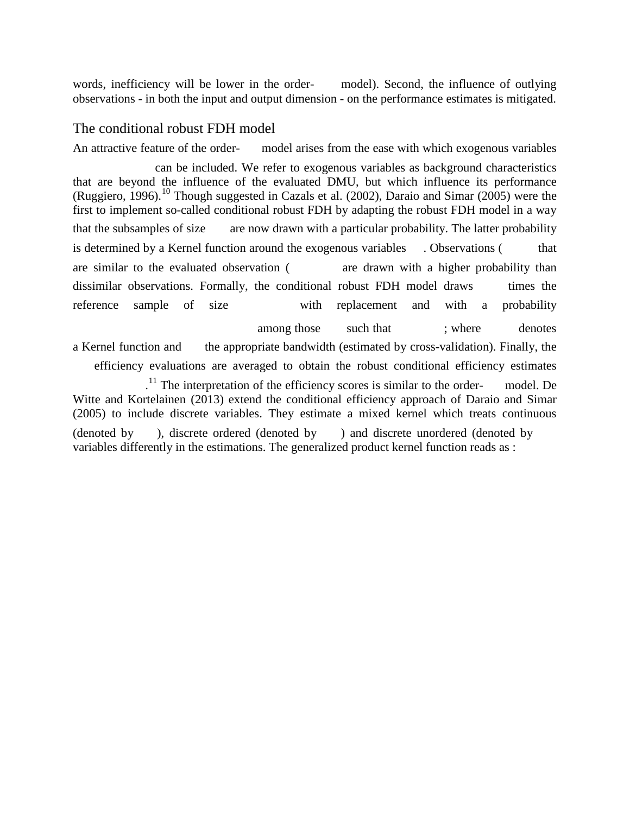words, inefficiency will be lower in the order- model). Second, the influence of outlying observations - in both the input and output dimension - on the performance estimates is mitigated.

#### The conditional robust FDH model

An attractive feature of the order- model arises from the ease with which exogenous variables

<span id="page-11-1"></span><span id="page-11-0"></span> can be included. We refer to exogenous variables as background characteristics that are beyond the influence of the evaluated DMU, but which influence its performance (Ruggiero, 1996).<sup>[10](#page-11-0)</sup> Though suggested in Cazals et al. (2002), Daraio and Simar (2005) were the first to implement so-called conditional robust FDH by adapting the robust FDH model in a way that the subsamples of size are now drawn with a particular probability. The latter probability is determined by a Kernel function around the exogenous variables . Observations ( that are similar to the evaluated observation ( are drawn with a higher probability than dissimilar observations. Formally, the conditional robust FDH model draws times the reference sample of size with replacement and with a probability among those such that ; where denotes a Kernel function and the appropriate bandwidth (estimated by cross-validation). Finally, the efficiency evaluations are averaged to obtain the robust conditional efficiency estimates  $11$ <sup>11</sup>. The interpretation of the efficiency scores is similar to the order- model. De Witte and Kortelainen (2013) extend the conditional efficiency approach of Daraio and Simar (2005) to include discrete variables. They estimate a mixed kernel which treats continuous (denoted by ), discrete ordered (denoted by ) and discrete unordered (denoted by variables differently in the estimations. The generalized product kernel function reads as :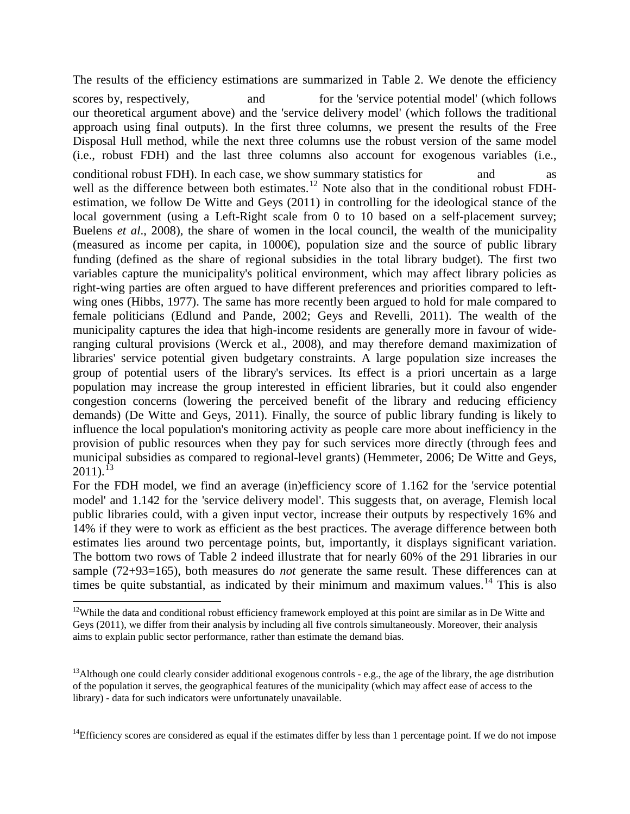The results of the efficiency estimations are summarized in Table 2. We denote the efficiency

scores by, respectively, and for the 'service potential model' (which follows our theoretical argument above) and the 'service delivery model' (which follows the traditional approach using final outputs). In the first three columns, we present the results of the Free Disposal Hull method, while the next three columns use the robust version of the same model (i.e., robust FDH) and the last three columns also account for exogenous variables (i.e., conditional robust FDH). In each case, we show summary statistics for and as well as the difference between both estimates.<sup>[12](#page-12-0)</sup> Note also that in the conditional robust FDHestimation, we follow De Witte and Geys (2011) in controlling for the ideological stance of the local government (using a Left-Right scale from 0 to 10 based on a self-placement survey; Buelens *et al*., 2008), the share of women in the local council, the wealth of the municipality (measured as income per capita, in 1000 $\oplus$ , population size and the source of public library funding (defined as the share of regional subsidies in the total library budget). The first two variables capture the municipality's political environment, which may affect library policies as right-wing parties are often argued to have different preferences and priorities compared to leftwing ones (Hibbs, 1977). The same has more recently been argued to hold for male compared to female politicians (Edlund and Pande, 2002; Geys and Revelli, 2011). The wealth of the municipality captures the idea that high-income residents are generally more in favour of wideranging cultural provisions (Werck et al., 2008), and may therefore demand maximization of libraries' service potential given budgetary constraints. A large population size increases the group of potential users of the library's services. Its effect is a priori uncertain as a large population may increase the group interested in efficient libraries, but it could also engender congestion concerns (lowering the perceived benefit of the library and reducing efficiency demands) (De Witte and Geys, 2011). Finally, the source of public library funding is likely to influence the local population's monitoring activity as people care more about inefficiency in the provision of public resources when they pay for such services more directly (through fees and municipal subsidies as compared to regional-level grants) (Hemmeter, 2006; De Witte and Geys,  $2011$ ).<sup>[13](#page-12-1)</sup>

For the FDH model, we find an average (in)efficiency score of 1.162 for the 'service potential model' and 1.142 for the 'service delivery model'. This suggests that, on average, Flemish local public libraries could, with a given input vector, increase their outputs by respectively 16% and 14% if they were to work as efficient as the best practices. The average difference between both estimates lies around two percentage points, but, importantly, it displays significant variation. The bottom two rows of Table 2 indeed illustrate that for nearly 60% of the 291 libraries in our sample (72+93=165), both measures do *not* generate the same result. These differences can at times be quite substantial, as indicated by their minimum and maximum values.<sup>[14](#page-12-2)</sup> This is also

<span id="page-12-2"></span><sup>14</sup>Efficiency scores are considered as equal if the estimates differ by less than 1 percentage point. If we do not impose

<span id="page-12-0"></span><sup>&</sup>lt;sup>12</sup>While the data and conditional robust efficiency framework employed at this point are similar as in De Witte and Geys (2011), we differ from their analysis by including all five controls simultaneously. Moreover, their analysis aims to explain public sector performance, rather than estimate the demand bias.

<span id="page-12-1"></span><sup>&</sup>lt;sup>13</sup>Although one could clearly consider additional exogenous controls - e.g., the age of the library, the age distribution of the population it serves, the geographical features of the municipality (which may affect ease of access to the library) - data for such indicators were unfortunately unavailable.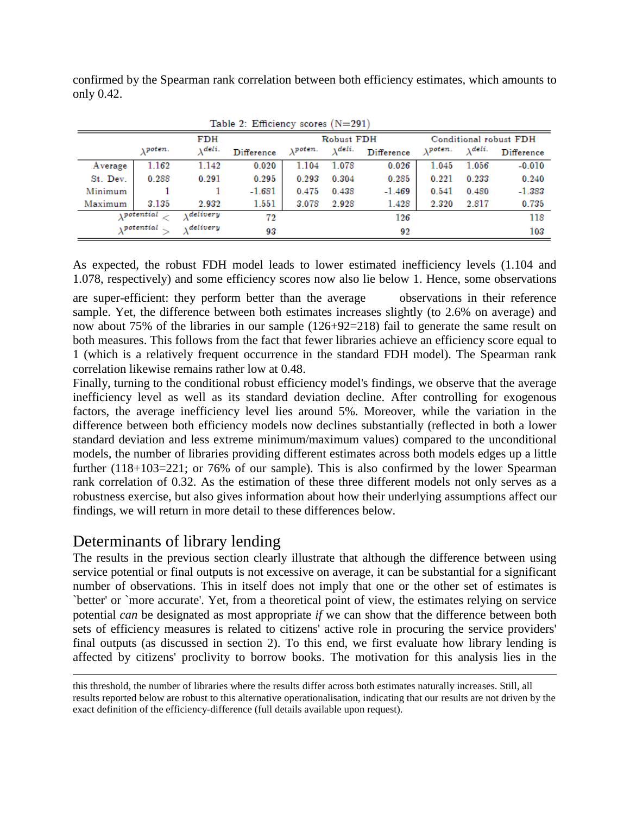confirmed by the Spearman rank correlation between both efficiency estimates, which amounts to only 0.42.

| Table 2. Empletion scores $(11 - 291)$ |                |           |            |                       |                 |            |                     |        |                        |
|----------------------------------------|----------------|-----------|------------|-----------------------|-----------------|------------|---------------------|--------|------------------------|
|                                        |                | FDH       |            |                       | Robust FDH      |            |                     |        | Conditional robust FDH |
|                                        | <i>vpoten.</i> | Adeli.    | Difference | <i><b>Apoten.</b></i> | $\lambda$ dels. | Difference | $_{\lambda}$ poten. | Adeli. | Difference             |
| Average                                | 1.162          | 1.142     | 0.020      | 1.104                 | 1.078           | 0.026      | 1.045               | 1.056  | $-0.010$               |
| St. Dev.                               | 0.288          | 0.291     | 0.295      | 0.293                 | 0.304           | 0.285      | 0.221               | 0.233  | 0.240                  |
| Minimum                                |                |           | $-1.681$   | 0.475                 | 0.438           | $-1.469$   | 0.541               | 0.480  | $-1.383$               |
| Maximum                                | 3.135          | 2.932     | 1.551      | 3.078                 | 2.928           | 1.428      | 2.320               | 2.817  | 0.735                  |
|                                        | potential      | Adelivery | 72         |                       |                 | 126        |                     |        | 118                    |
|                                        | potential      | delivery  | 93         |                       |                 | 92         |                     |        | 103                    |

| Table 2: Efficiency scores (N=291) |  |
|------------------------------------|--|
|------------------------------------|--|

As expected, the robust FDH model leads to lower estimated inefficiency levels (1.104 and 1.078, respectively) and some efficiency scores now also lie below 1. Hence, some observations

are super-efficient: they perform better than the average observations in their reference sample. Yet, the difference between both estimates increases slightly (to 2.6% on average) and now about 75% of the libraries in our sample (126+92=218) fail to generate the same result on both measures. This follows from the fact that fewer libraries achieve an efficiency score equal to 1 (which is a relatively frequent occurrence in the standard FDH model). The Spearman rank correlation likewise remains rather low at 0.48.

Finally, turning to the conditional robust efficiency model's findings, we observe that the average inefficiency level as well as its standard deviation decline. After controlling for exogenous factors, the average inefficiency level lies around 5%. Moreover, while the variation in the difference between both efficiency models now declines substantially (reflected in both a lower standard deviation and less extreme minimum/maximum values) compared to the unconditional models, the number of libraries providing different estimates across both models edges up a little further (118+103=221; or 76% of our sample). This is also confirmed by the lower Spearman rank correlation of 0.32. As the estimation of these three different models not only serves as a robustness exercise, but also gives information about how their underlying assumptions affect our findings, we will return in more detail to these differences below.

## Determinants of library lending

 $\overline{a}$ 

The results in the previous section clearly illustrate that although the difference between using service potential or final outputs is not excessive on average, it can be substantial for a significant number of observations. This in itself does not imply that one or the other set of estimates is `better' or `more accurate'. Yet, from a theoretical point of view, the estimates relying on service potential *can* be designated as most appropriate *if* we can show that the difference between both sets of efficiency measures is related to citizens' active role in procuring the service providers' final outputs (as discussed in section 2). To this end, we first evaluate how library lending is affected by citizens' proclivity to borrow books. The motivation for this analysis lies in the

this threshold, the number of libraries where the results differ across both estimates naturally increases. Still, all results reported below are robust to this alternative operationalisation, indicating that our results are not driven by the exact definition of the efficiency-difference (full details available upon request).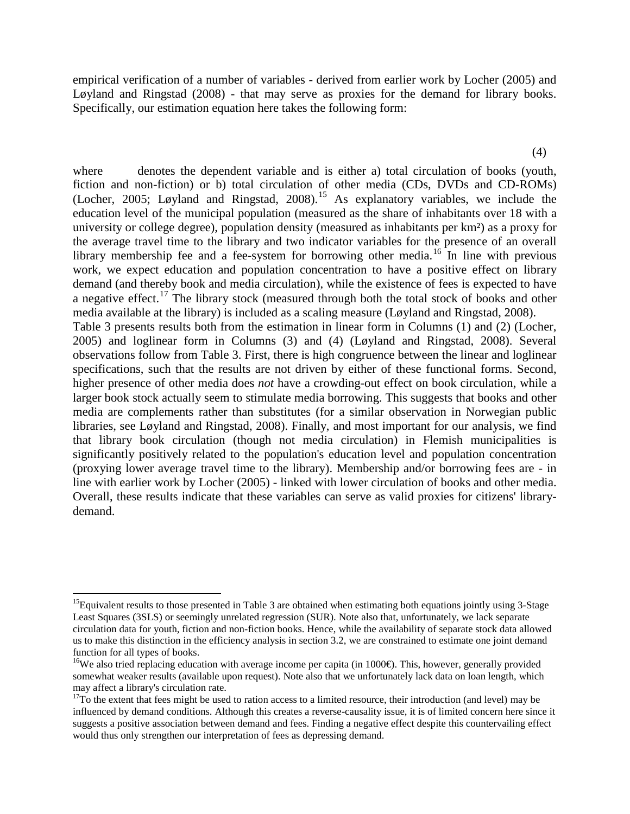empirical verification of a number of variables - derived from earlier work by Locher (2005) and Løyland and Ringstad (2008) - that may serve as proxies for the demand for library books. Specifically, our estimation equation here takes the following form:

(4)

where denotes the dependent variable and is either a) total circulation of books (youth, fiction and non-fiction) or b) total circulation of other media (CDs, DVDs and CD-ROMs) (Locher, 2005; Løyland and Ringstad, 2008).[15](#page-14-0) As explanatory variables, we include the education level of the municipal population (measured as the share of inhabitants over 18 with a university or college degree), population density (measured as inhabitants per km²) as a proxy for the average travel time to the library and two indicator variables for the presence of an overall library membership fee and a fee-system for borrowing other media.<sup>[16](#page-14-1)</sup> In line with previous work, we expect education and population concentration to have a positive effect on library demand (and thereby book and media circulation), while the existence of fees is expected to have a negative effect.<sup>[17](#page-14-2)</sup> The library stock (measured through both the total stock of books and other media available at the library) is included as a scaling measure (Løyland and Ringstad, 2008). Table 3 presents results both from the estimation in linear form in Columns (1) and (2) (Locher, 2005) and loglinear form in Columns (3) and (4) (Løyland and Ringstad, 2008). Several observations follow from Table 3. First, there is high congruence between the linear and loglinear specifications, such that the results are not driven by either of these functional forms. Second, higher presence of other media does *not* have a crowding-out effect on book circulation, while a larger book stock actually seem to stimulate media borrowing. This suggests that books and other media are complements rather than substitutes (for a similar observation in Norwegian public libraries, see Løyland and Ringstad, 2008). Finally, and most important for our analysis, we find that library book circulation (though not media circulation) in Flemish municipalities is significantly positively related to the population's education level and population concentration (proxying lower average travel time to the library). Membership and/or borrowing fees are - in line with earlier work by Locher (2005) - linked with lower circulation of books and other media. Overall, these results indicate that these variables can serve as valid proxies for citizens' librarydemand.

<span id="page-14-0"></span><sup>&</sup>lt;sup>15</sup>Equivalent results to those presented in Table 3 are obtained when estimating both equations jointly using  $3-$ Stage Least Squares (3SLS) or seemingly unrelated regression (SUR). Note also that, unfortunately, we lack separate circulation data for youth, fiction and non-fiction books. Hence, while the availability of separate stock data allowed us to make this distinction in the efficiency analysis in section 3.2, we are constrained to estimate one joint demand function for all types of books.

<span id="page-14-1"></span><sup>&</sup>lt;sup>16</sup>We also tried replacing education with average income per capita (in 1000 $\Theta$ ). This, however, generally provided somewhat weaker results (available upon request). Note also that we unfortunately lack data on loan length, which may affect a library's circulation rate.<br><sup>17</sup>To the extent that fees might be used to ration access to a limited resource, their introduction (and level) may be

<span id="page-14-2"></span>influenced by demand conditions. Although this creates a reverse-causality issue, it is of limited concern here since it suggests a positive association between demand and fees. Finding a negative effect despite this countervailing effect would thus only strengthen our interpretation of fees as depressing demand.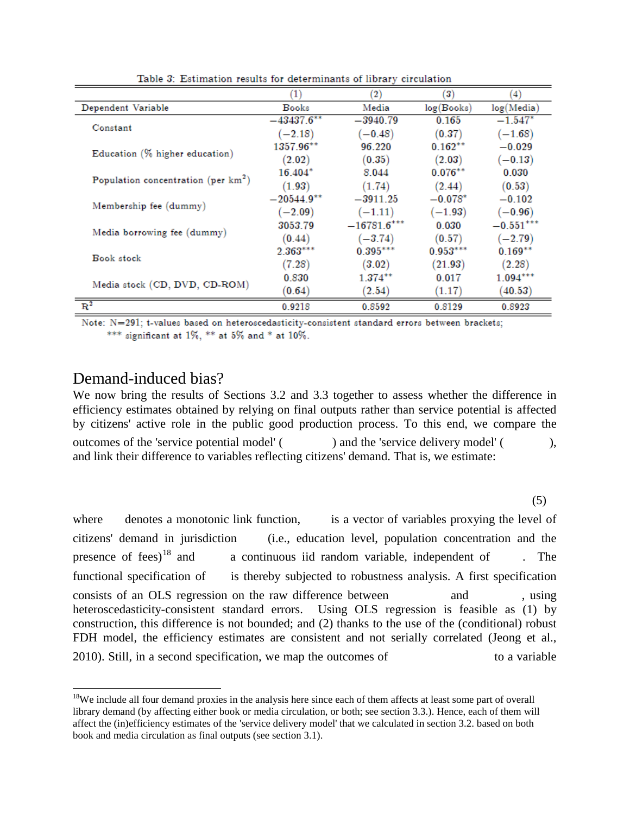|                                        | (1)           | $\left( 2\right)$ | 3)         | $\left(4\right)$ |
|----------------------------------------|---------------|-------------------|------------|------------------|
| Dependent Variable                     | <b>Books</b>  | Media             | log(Books) | log(Media)       |
| Constant                               | $-43437.6***$ | $-3940.79$        | 0.165      | $-1.547*$        |
|                                        | $(-2.18)$     | $(-0.48)$         | (0.37)     | $(-1.68)$        |
|                                        | 1357.96**     | 96 220            | $0.162***$ | $-0.029$         |
| Education (% higher education)         | (2.02)        | (0.35)            | (2.03)     | $(-0.13)$        |
|                                        | $16.404*$     | 8.044             | $0.076***$ | 0.030            |
| Population concentration (per $km^2$ ) | (1.93)        | (1.74)            | (2.44)     | (0.53)           |
|                                        | $-20544.9***$ | $-3911.25$        | $-0.078*$  | $-0.102$         |
| Membership fee (dummy)                 | $(-2.09)$     | $(-1.11)$         | $(-1.93)$  | $(-0.96)$        |
|                                        | 3053.79       | $-16781.6***$     | 0.030      | $-0.551***$      |
| Media borrowing fee (dummy)            | (0.44)        | $(-3.74)$         | (0.57)     | $(-2.79)$        |
| <b>Book stock</b>                      | $2.363***$    | $0.395***$        | $0.953***$ | $0.169***$       |
|                                        | (7.28)        | (3.02)            | (21.93)    | (2.28)           |
| Media stock (CD, DVD, CD-ROM)          | 0.830         | $1.374***$        | 0.017      | $1.094***$       |
|                                        | (0.64)        | (2.54)            | (1.17)     | (40.53)          |
| $R^2$                                  | 0.9218        | 0.8592            | 0.8129     | 0.8923           |

Table 3: Estimation results for determinants of library circulation

Note: N=291; t-values based on heteroscedasticity-consistent standard errors between brackets; \*\*\* significant at 1%, \*\* at 5% and \* at 10%.

#### Demand-induced bias?

We now bring the results of Sections 3.2 and 3.3 together to assess whether the difference in efficiency estimates obtained by relying on final outputs rather than service potential is affected by citizens' active role in the public good production process. To this end, we compare the outcomes of the 'service potential model' ( ) and the 'service delivery model' ( ), and link their difference to variables reflecting citizens' demand. That is, we estimate:

(5)

where denotes a monotonic link function, is a vector of variables proxying the level of citizens' demand in jurisdiction (i.e., education level, population concentration and the presence of fees)<sup>[18](#page-15-0)</sup> and a continuous iid random variable, independent of  $\blacksquare$ . The functional specification of is thereby subjected to robustness analysis. A first specification consists of an OLS regression on the raw difference between and , using heteroscedasticity-consistent standard errors. Using OLS regression is feasible as (1) by construction, this difference is not bounded; and (2) thanks to the use of the (conditional) robust FDH model, the efficiency estimates are consistent and not serially correlated (Jeong et al., 2010). Still, in a second specification, we map the outcomes of to a variable

<span id="page-15-0"></span><sup>&</sup>lt;sup>18</sup>We include all four demand proxies in the analysis here since each of them affects at least some part of overall library demand (by affecting either book or media circulation, or both; see section 3.3.). Hence, each of them will affect the (in)efficiency estimates of the 'service delivery model' that we calculated in section 3.2. based on both book and media circulation as final outputs (see section 3.1).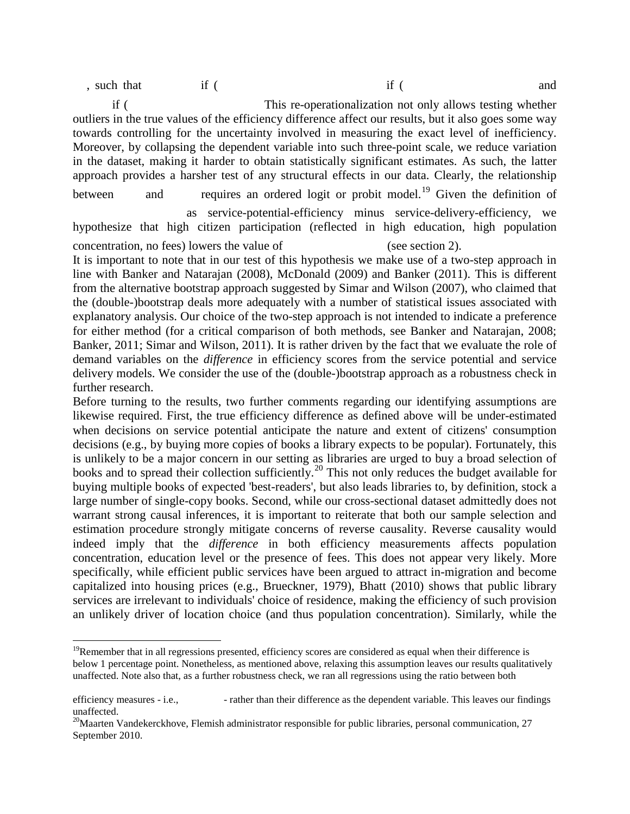, such that if ( and if example if  $\int$  if  $\int$  and  $\int$  if  $\int$  and  $\int$  and  $\int$  and  $\int$  and  $\int$  and  $\int$  and  $\int$  and  $\int$  and  $\int$  and  $\int$  and  $\int$  and  $\int$  and  $\int$  and  $\int$  and  $\int$  and  $\int$  and  $\int$  and  $\int$  and

 if ( This re-operationalization not only allows testing whether outliers in the true values of the efficiency difference affect our results, but it also goes some way towards controlling for the uncertainty involved in measuring the exact level of inefficiency. Moreover, by collapsing the dependent variable into such three-point scale, we reduce variation in the dataset, making it harder to obtain statistically significant estimates. As such, the latter approach provides a harsher test of any structural effects in our data. Clearly, the relationship between and requires an ordered logit or probit model.<sup>[19](#page-16-0)</sup> Given the definition of as service-potential-efficiency minus service-delivery-efficiency, we

It is important to note that in our test of this hypothesis we make use of a two-step approach in line with Banker and Natarajan (2008), McDonald (2009) and Banker (2011). This is different from the alternative bootstrap approach suggested by Simar and Wilson (2007), who claimed that the (double-)bootstrap deals more adequately with a number of statistical issues associated with explanatory analysis. Our choice of the two-step approach is not intended to indicate a preference for either method (for a critical comparison of both methods, see Banker and Natarajan, 2008; Banker, 2011; Simar and Wilson, 2011). It is rather driven by the fact that we evaluate the role of demand variables on the *difference* in efficiency scores from the service potential and service delivery models. We consider the use of the (double-)bootstrap approach as a robustness check in further research.

Before turning to the results, two further comments regarding our identifying assumptions are likewise required. First, the true efficiency difference as defined above will be under-estimated when decisions on service potential anticipate the nature and extent of citizens' consumption decisions (e.g., by buying more copies of books a library expects to be popular). Fortunately, this is unlikely to be a major concern in our setting as libraries are urged to buy a broad selection of books and to spread their collection sufficiently.<sup>[20](#page-16-1)</sup> This not only reduces the budget available for buying multiple books of expected 'best-readers', but also leads libraries to, by definition, stock a large number of single-copy books. Second, while our cross-sectional dataset admittedly does not warrant strong causal inferences, it is important to reiterate that both our sample selection and estimation procedure strongly mitigate concerns of reverse causality. Reverse causality would indeed imply that the *difference* in both efficiency measurements affects population concentration, education level or the presence of fees. This does not appear very likely. More specifically, while efficient public services have been argued to attract in-migration and become capitalized into housing prices (e.g., Brueckner, 1979), Bhatt (2010) shows that public library services are irrelevant to individuals' choice of residence, making the efficiency of such provision an unlikely driver of location choice (and thus population concentration). Similarly, while the

hypothesize that high citizen participation (reflected in high education, high population concentration, no fees) lowers the value of (see section 2).

<span id="page-16-0"></span> $19$ Remember that in all regressions presented, efficiency scores are considered as equal when their difference is below 1 percentage point. Nonetheless, as mentioned above, relaxing this assumption leaves our results qualitatively unaffected. Note also that, as a further robustness check, we ran all regressions using the ratio between both

efficiency measures - i.e.,  $\cdot$  rather than their difference as the dependent variable. This leaves our findings unaffected.

<span id="page-16-1"></span> $20$ Maarten Vandekerckhove, Flemish administrator responsible for public libraries, personal communication, 27 September 2010.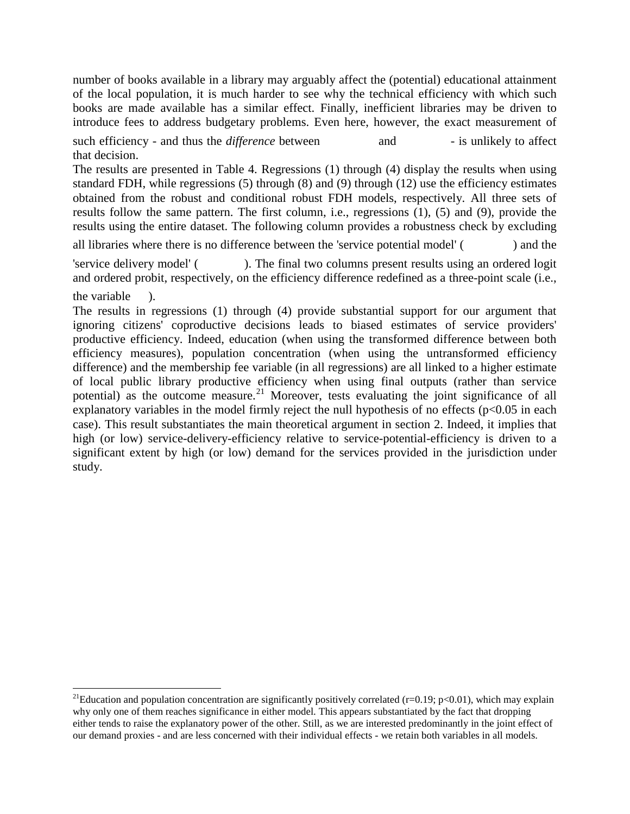number of books available in a library may arguably affect the (potential) educational attainment of the local population, it is much harder to see why the technical efficiency with which such books are made available has a similar effect. Finally, inefficient libraries may be driven to introduce fees to address budgetary problems. Even here, however, the exact measurement of

such efficiency - and thus the *difference* between and - is unlikely to affect that decision.

The results are presented in Table 4. Regressions (1) through (4) display the results when using standard FDH, while regressions (5) through (8) and (9) through (12) use the efficiency estimates obtained from the robust and conditional robust FDH models, respectively. All three sets of results follow the same pattern. The first column, i.e., regressions (1), (5) and (9), provide the results using the entire dataset. The following column provides a robustness check by excluding

all libraries where there is no difference between the 'service potential model' ( ) and the

'service delivery model' ( ). The final two columns present results using an ordered logit and ordered probit, respectively, on the efficiency difference redefined as a three-point scale (i.e.,

the variable ).

The results in regressions (1) through (4) provide substantial support for our argument that ignoring citizens' coproductive decisions leads to biased estimates of service providers' productive efficiency. Indeed, education (when using the transformed difference between both efficiency measures), population concentration (when using the untransformed efficiency difference) and the membership fee variable (in all regressions) are all linked to a higher estimate of local public library productive efficiency when using final outputs (rather than service potential) as the outcome measure.<sup>[21](#page-17-0)</sup> Moreover, tests evaluating the joint significance of all explanatory variables in the model firmly reject the null hypothesis of no effects  $(p<0.05$  in each case). This result substantiates the main theoretical argument in section 2. Indeed, it implies that high (or low) service-delivery-efficiency relative to service-potential-efficiency is driven to a significant extent by high (or low) demand for the services provided in the jurisdiction under study.

<span id="page-17-0"></span><sup>&</sup>lt;sup>21</sup>Education and population concentration are significantly positively correlated (r=0.19; p<0.01), which may explain why only one of them reaches significance in either model. This appears substantiated by the fact that dropping either tends to raise the explanatory power of the other. Still, as we are interested predominantly in the joint effect of our demand proxies - and are less concerned with their individual effects - we retain both variables in all models.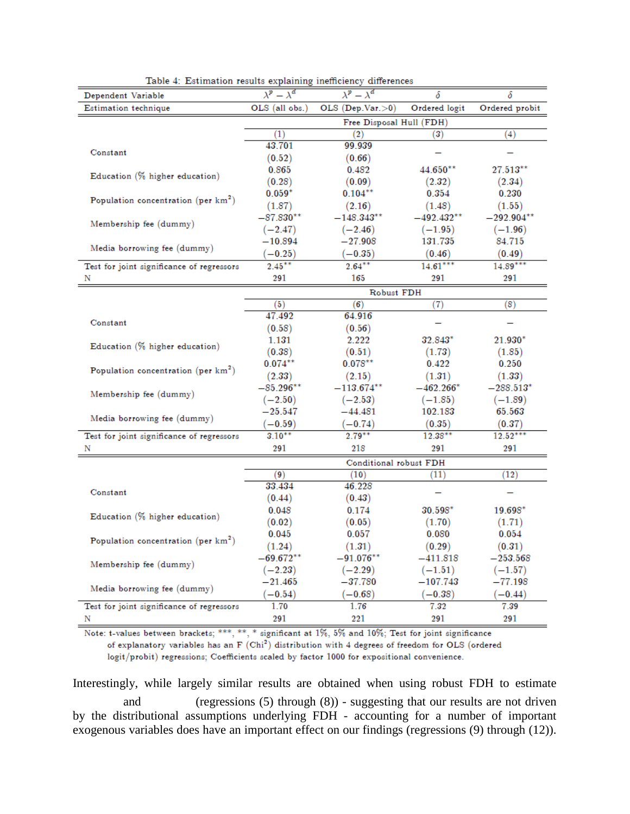| Dependent Variable                              | $-\overline{\lambda^d}$  | $\lambda^p - \lambda^d$ | δ                | δ                     |  |
|-------------------------------------------------|--------------------------|-------------------------|------------------|-----------------------|--|
| Estimation technique                            | OLS (all obs.)           | OLS (Dep.Var. >0)       | Ordered logit    | Ordered probit        |  |
|                                                 | Free Disposal Hull (FDH) |                         |                  |                       |  |
|                                                 | $\left(1\right)$         | (2)                     | $\left(3\right)$ | (4)                   |  |
|                                                 | 43.701                   | 99.939                  |                  |                       |  |
| Constant                                        | (0.52)                   | (0.66)                  |                  |                       |  |
|                                                 | 0.865                    | 0.482                   | 44.650**         | $27.513^{\ast\ast}$   |  |
| Education (% higher education)                  | (0.28)                   | (0.09)                  | (2.32)           | (2.34)                |  |
|                                                 | $0.059*$                 | $0.104***$              | 0.354            | 0.230                 |  |
| Population concentration (per $km^2$ )          | (1.87)                   | (2.16)                  | (1.48)           | (1.55)                |  |
|                                                 | $-87.830^{\ast\ast}$     | $-148.343^{\ast\ast}$   | $-492.432^{**}$  | $-292.904^{\ast\ast}$ |  |
| Membership fee (dummy)                          | $(-2.47)$                | $(-2.46)$               | $(-1.95)$        | $(-1.96)$             |  |
|                                                 | $^{-10.894}$             | $-27.908\,$             | 131.735          | 84.715                |  |
| Media borrowing fee (dummy)                     | $(-0.25)$                | $(-0.35)$               | (0.46)           | (0.49)                |  |
| Test for joint significance of regressors       | $2.45***$                | $2.64***$               | $14.61***$       | $14.89***$            |  |
|                                                 | 291                      | 165                     | 291              | 291                   |  |
|                                                 |                          | Robust FDH              |                  |                       |  |
|                                                 | (5)                      | (6)                     | (7)              | (8)                   |  |
|                                                 | 47.492                   | 64.916                  |                  |                       |  |
| Constant                                        | (0.58)                   | (0.56)                  |                  |                       |  |
|                                                 | 1.131                    | 2.222                   | 32.843*          | $21.930*$             |  |
| Education (% higher education)                  | (0.38)                   | (0.51)                  | (1.73)           | (1.85)                |  |
|                                                 | $0.074***$               | $0.078***$              | 0.422            | 0.250                 |  |
| Population concentration (per km <sup>2</sup> ) | (2.33)                   | (2.15)                  | (1.31)           | (1.33)                |  |
|                                                 | $-85.296^{\ast\ast}$     | $-113.674^{\ast\ast}$   | $-462.266*$      | $-288.513^*$          |  |
| Membership fee (dummy)                          | $(-2.50)$                | $(-2.53)$               | $(-1.85)$        | $(-1.89)$             |  |
|                                                 | $-25.547$                | $-44.481$               | 102.183          | 65.563                |  |
| Media borrowing fee (dummy)                     | $(-0.59)$                | $(-0.74)$               | (0.35)           | (0.37)                |  |
| Test for joint significance of regressors       | $3.10***$                | $2.79***$               | $12.38***$       | $12.52***$            |  |
| Ν                                               | 291                      | 218                     | 291              | 291                   |  |
|                                                 | Conditional robust FDH   |                         |                  |                       |  |
|                                                 | 9)                       | (10)                    | (11)             | (12)                  |  |
|                                                 | 33.434                   | 46.228                  |                  |                       |  |
| Constant                                        | (0.44)                   | (0.43)                  |                  |                       |  |
|                                                 | 0.048                    | 0.174                   | $30.598*$        | $19.698*$             |  |
| Education (% higher education)                  | (0.02)                   | (0.05)                  | (1.70)           | (1.71)                |  |
|                                                 | 0.045                    | 0.057                   | 0.080            | 0.054                 |  |
| Population concentration (per $km^2$ )          | (1.24)                   | (1.31)                  | (0.29)           | (0.31)                |  |
|                                                 | -69.672**                | -91.076**               | $-411.818$       | -253.568              |  |
| Membership fee (dummy)                          | $(-2.23)$                | $(-2.29)$               | $(-1.51)$        | $(-1.57)$             |  |
|                                                 | $-21.465$                | -37.780                 | $-107.743$       | -77.198               |  |
| Media borrowing fee (dummy)                     | $-0.54)$                 | $-0.68$                 | $(-0.38)$        | $(-0.44)$             |  |
| Test for joint significance of regressors       | 1.70                     | 1.76                    | 7.32             | 7.39                  |  |
| Ν                                               | 291                      | 221                     | 291              | 291                   |  |

Table 4: Estimation results explaining inefficiency differences

Note: t-values between brackets; \*\*\*, \*\*, \* significant at 1%, 5% and 10%; Test for joint significance of explanatory variables has an F (Chi<sup>2</sup>) distribution with 4 degrees of freedom for OLS (ordered logit/probit) regressions; Coefficients scaled by factor 1000 for expositional convenience.

Interestingly, while largely similar results are obtained when using robust FDH to estimate

 and (regressions (5) through (8)) - suggesting that our results are not driven by the distributional assumptions underlying FDH - accounting for a number of important exogenous variables does have an important effect on our findings (regressions (9) through (12)).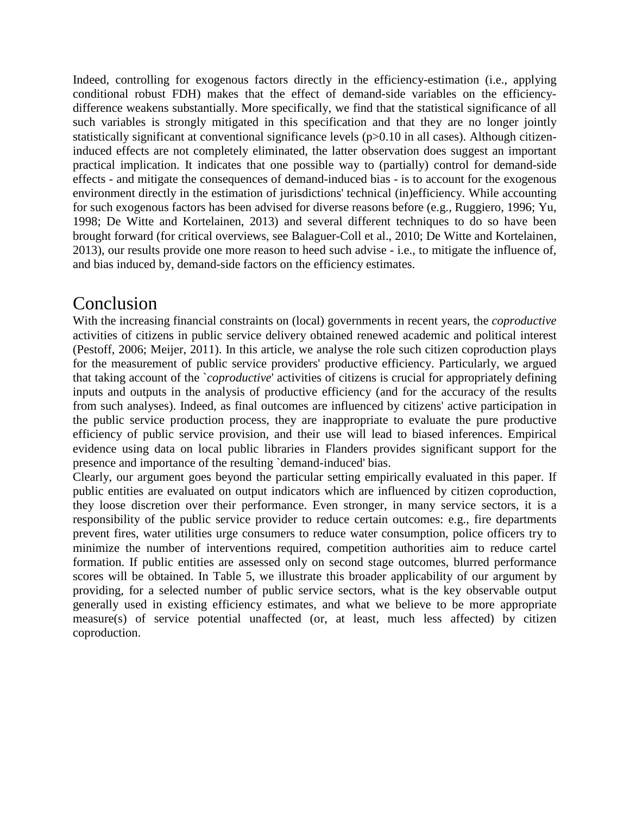Indeed, controlling for exogenous factors directly in the efficiency-estimation (i.e., applying conditional robust FDH) makes that the effect of demand-side variables on the efficiencydifference weakens substantially. More specifically, we find that the statistical significance of all such variables is strongly mitigated in this specification and that they are no longer jointly statistically significant at conventional significance levels (p>0.10 in all cases). Although citizeninduced effects are not completely eliminated, the latter observation does suggest an important practical implication. It indicates that one possible way to (partially) control for demand-side effects - and mitigate the consequences of demand-induced bias - is to account for the exogenous environment directly in the estimation of jurisdictions' technical (in)efficiency. While accounting for such exogenous factors has been advised for diverse reasons before (e.g., Ruggiero, 1996; Yu, 1998; De Witte and Kortelainen, 2013) and several different techniques to do so have been brought forward (for critical overviews, see Balaguer-Coll et al., 2010; De Witte and Kortelainen, 2013), our results provide one more reason to heed such advise - i.e., to mitigate the influence of, and bias induced by, demand-side factors on the efficiency estimates.

# Conclusion

With the increasing financial constraints on (local) governments in recent years, the *coproductive* activities of citizens in public service delivery obtained renewed academic and political interest (Pestoff, 2006; Meijer, 2011). In this article, we analyse the role such citizen coproduction plays for the measurement of public service providers' productive efficiency. Particularly, we argued that taking account of the `*coproductive*' activities of citizens is crucial for appropriately defining inputs and outputs in the analysis of productive efficiency (and for the accuracy of the results from such analyses). Indeed, as final outcomes are influenced by citizens' active participation in the public service production process, they are inappropriate to evaluate the pure productive efficiency of public service provision, and their use will lead to biased inferences. Empirical evidence using data on local public libraries in Flanders provides significant support for the presence and importance of the resulting `demand-induced' bias.

Clearly, our argument goes beyond the particular setting empirically evaluated in this paper. If public entities are evaluated on output indicators which are influenced by citizen coproduction, they loose discretion over their performance. Even stronger, in many service sectors, it is a responsibility of the public service provider to reduce certain outcomes: e.g., fire departments prevent fires, water utilities urge consumers to reduce water consumption, police officers try to minimize the number of interventions required, competition authorities aim to reduce cartel formation. If public entities are assessed only on second stage outcomes, blurred performance scores will be obtained. In Table 5, we illustrate this broader applicability of our argument by providing, for a selected number of public service sectors, what is the key observable output generally used in existing efficiency estimates, and what we believe to be more appropriate measure(s) of service potential unaffected (or, at least, much less affected) by citizen coproduction.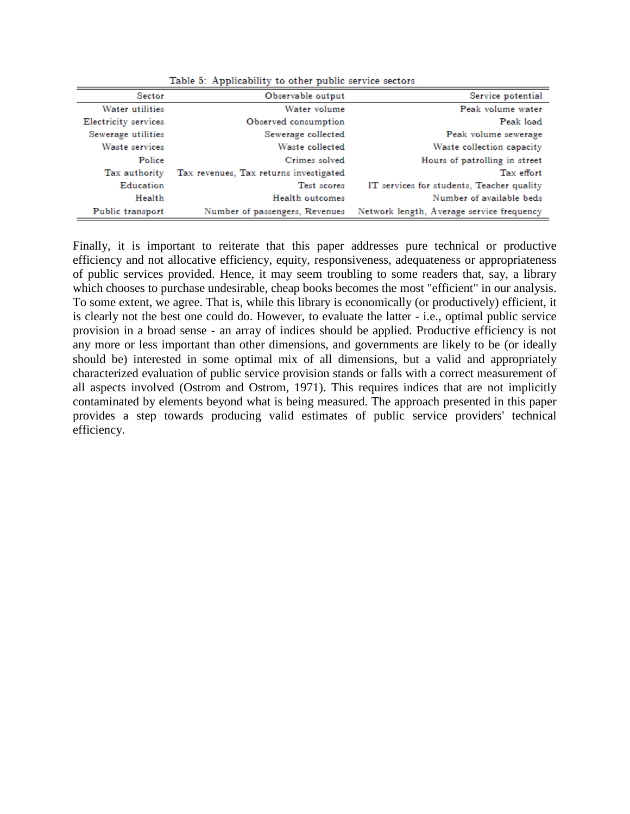| Sector               | Observable output                      | Service potential                         |
|----------------------|----------------------------------------|-------------------------------------------|
| Water utilities      | Water volume                           | Peak volume water                         |
| Electricity services | Observed consumption                   | Peak load                                 |
| Sewerage utilities   | Sewerage collected                     | Peak volume sewerage                      |
| Waste services       | Waste collected                        | Waste collection capacity                 |
| Police               | Crimes solved                          | Hours of patrolling in street             |
| Tax authority        | Tax revenues, Tax returns investigated | Tax effort                                |
| Education            | Test scores                            | IT services for students, Teacher quality |
| Health               | Health outcomes                        | Number of available beds                  |
| Public transport     | Number of passengers, Revenues         | Network length, Average service frequency |

Table 5: Applicability to other public service sectors

Finally, it is important to reiterate that this paper addresses pure technical or productive efficiency and not allocative efficiency, equity, responsiveness, adequateness or appropriateness of public services provided. Hence, it may seem troubling to some readers that, say, a library which chooses to purchase undesirable, cheap books becomes the most "efficient" in our analysis. To some extent, we agree. That is, while this library is economically (or productively) efficient, it is clearly not the best one could do. However, to evaluate the latter - i.e., optimal public service provision in a broad sense - an array of indices should be applied. Productive efficiency is not any more or less important than other dimensions, and governments are likely to be (or ideally should be) interested in some optimal mix of all dimensions, but a valid and appropriately characterized evaluation of public service provision stands or falls with a correct measurement of all aspects involved (Ostrom and Ostrom, 1971). This requires indices that are not implicitly contaminated by elements beyond what is being measured. The approach presented in this paper provides a step towards producing valid estimates of public service providers' technical efficiency.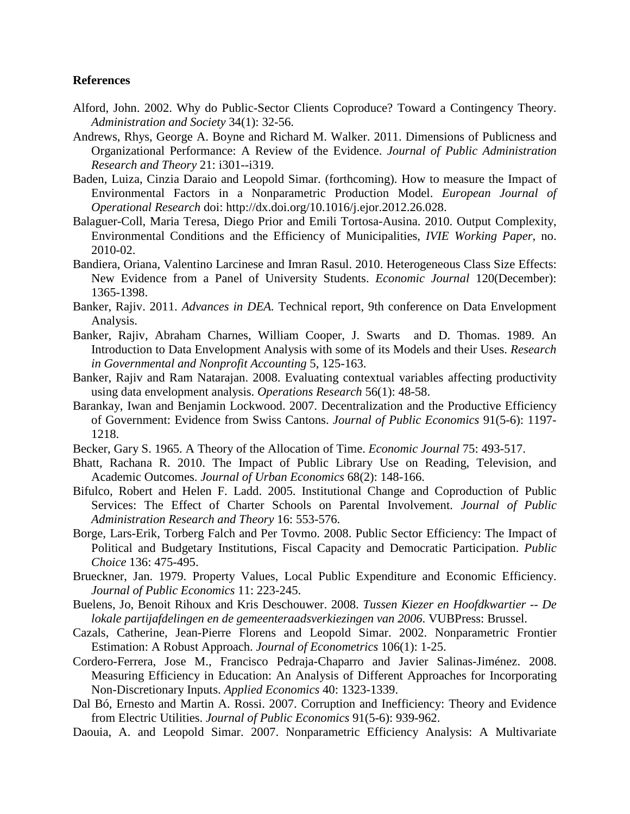#### **References**

- Alford, John. 2002. Why do Public-Sector Clients Coproduce? Toward a Contingency Theory. *Administration and Society* 34(1): 32-56.
- Andrews, Rhys, George A. Boyne and Richard M. Walker. 2011. Dimensions of Publicness and Organizational Performance: A Review of the Evidence. *Journal of Public Administration Research and Theory* 21: i301--i319.
- Baden, Luiza, Cinzia Daraio and Leopold Simar. (forthcoming). How to measure the Impact of Environmental Factors in a Nonparametric Production Model. *European Journal of Operational Research* doi: http://dx.doi.org/10.1016/j.ejor.2012.26.028.
- Balaguer-Coll, Maria Teresa, Diego Prior and Emili Tortosa-Ausina. 2010. Output Complexity, Environmental Conditions and the Efficiency of Municipalities, *IVIE Working Paper*, no. 2010-02.
- Bandiera, Oriana, Valentino Larcinese and Imran Rasul. 2010. Heterogeneous Class Size Effects: New Evidence from a Panel of University Students. *Economic Journal* 120(December): 1365-1398.
- Banker, Rajiv. 2011. *Advances in DEA.* Technical report, 9th conference on Data Envelopment Analysis.
- Banker, Rajiv, Abraham Charnes, William Cooper, J. Swarts and D. Thomas. 1989. An Introduction to Data Envelopment Analysis with some of its Models and their Uses. *Research in Governmental and Nonprofit Accounting* 5, 125-163.
- Banker, Rajiv and Ram Natarajan. 2008. Evaluating contextual variables affecting productivity using data envelopment analysis. *Operations Research* 56(1): 48-58.
- Barankay, Iwan and Benjamin Lockwood. 2007. Decentralization and the Productive Efficiency of Government: Evidence from Swiss Cantons. *Journal of Public Economics* 91(5-6): 1197- 1218.
- Becker, Gary S. 1965. A Theory of the Allocation of Time. *Economic Journal* 75: 493-517.
- Bhatt, Rachana R. 2010. The Impact of Public Library Use on Reading, Television, and Academic Outcomes. *Journal of Urban Economics* 68(2): 148-166.
- Bifulco, Robert and Helen F. Ladd. 2005. Institutional Change and Coproduction of Public Services: The Effect of Charter Schools on Parental Involvement. *Journal of Public Administration Research and Theory* 16: 553-576.
- Borge, Lars-Erik, Torberg Falch and Per Tovmo. 2008. Public Sector Efficiency: The Impact of Political and Budgetary Institutions, Fiscal Capacity and Democratic Participation. *Public Choice* 136: 475-495.
- Brueckner, Jan. 1979. Property Values, Local Public Expenditure and Economic Efficiency. *Journal of Public Economics* 11: 223-245.
- Buelens, Jo, Benoit Rihoux and Kris Deschouwer. 2008. *Tussen Kiezer en Hoofdkwartier -- De lokale partijafdelingen en de gemeenteraadsverkiezingen van 2006*. VUBPress: Brussel.
- Cazals, Catherine, Jean-Pierre Florens and Leopold Simar. 2002. Nonparametric Frontier Estimation: A Robust Approach. *Journal of Econometrics* 106(1): 1-25.
- Cordero-Ferrera, Jose M., Francisco Pedraja-Chaparro and Javier Salinas-Jiménez. 2008. Measuring Efficiency in Education: An Analysis of Different Approaches for Incorporating Non-Discretionary Inputs. *Applied Economics* 40: 1323-1339.
- Dal Bó, Ernesto and Martin A. Rossi. 2007. Corruption and Inefficiency: Theory and Evidence from Electric Utilities. *Journal of Public Economics* 91(5-6): 939-962.
- Daouia, A. and Leopold Simar. 2007. Nonparametric Efficiency Analysis: A Multivariate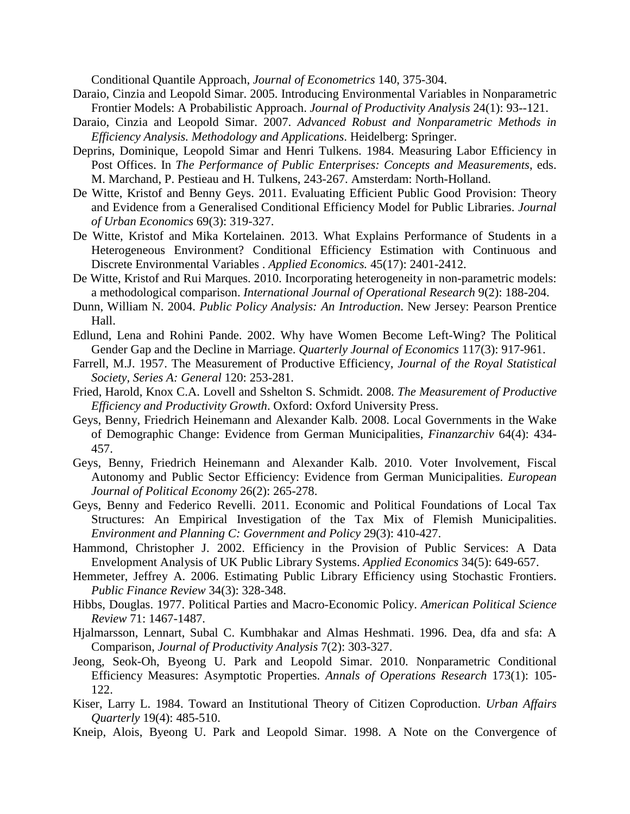Conditional Quantile Approach, *Journal of Econometrics* 140, 375-304.

- Daraio, Cinzia and Leopold Simar. 2005. Introducing Environmental Variables in Nonparametric Frontier Models: A Probabilistic Approach. *Journal of Productivity Analysis* 24(1): 93--121.
- Daraio, Cinzia and Leopold Simar. 2007. *Advanced Robust and Nonparametric Methods in Efficiency Analysis. Methodology and Applications*. Heidelberg: Springer.
- Deprins, Dominique, Leopold Simar and Henri Tulkens. 1984. Measuring Labor Efficiency in Post Offices. In *The Performance of Public Enterprises: Concepts and Measurements*, eds. M. Marchand, P. Pestieau and H. Tulkens, 243-267. Amsterdam: North-Holland.
- De Witte, Kristof and Benny Geys. 2011. Evaluating Efficient Public Good Provision: Theory and Evidence from a Generalised Conditional Efficiency Model for Public Libraries. *Journal of Urban Economics* 69(3): 319-327.
- De Witte, Kristof and Mika Kortelainen. 2013. What Explains Performance of Students in a Heterogeneous Environment? Conditional Efficiency Estimation with Continuous and Discrete Environmental Variables . *Applied Economics.* 45(17): 2401-2412.
- De Witte, Kristof and Rui Marques. 2010. Incorporating heterogeneity in non-parametric models: a methodological comparison. *International Journal of Operational Research* 9(2): 188-204.
- Dunn, William N. 2004. *Public Policy Analysis: An Introduction*. New Jersey: Pearson Prentice Hall.
- Edlund, Lena and Rohini Pande. 2002. Why have Women Become Left-Wing? The Political Gender Gap and the Decline in Marriage. *Quarterly Journal of Economics* 117(3): 917-961.
- Farrell, M.J. 1957. The Measurement of Productive Efficiency, *Journal of the Royal Statistical Society, Series A: General* 120: 253-281.
- Fried, Harold, Knox C.A. Lovell and Sshelton S. Schmidt. 2008. *The Measurement of Productive Efficiency and Productivity Growth*. Oxford: Oxford University Press.
- Geys, Benny, Friedrich Heinemann and Alexander Kalb. 2008. Local Governments in the Wake of Demographic Change: Evidence from German Municipalities, *Finanzarchiv* 64(4): 434- 457.
- Geys, Benny, Friedrich Heinemann and Alexander Kalb. 2010. Voter Involvement, Fiscal Autonomy and Public Sector Efficiency: Evidence from German Municipalities. *European Journal of Political Economy* 26(2): 265-278.
- Geys, Benny and Federico Revelli. 2011. Economic and Political Foundations of Local Tax Structures: An Empirical Investigation of the Tax Mix of Flemish Municipalities. *Environment and Planning C: Government and Policy* 29(3): 410-427.
- Hammond, Christopher J. 2002. Efficiency in the Provision of Public Services: A Data Envelopment Analysis of UK Public Library Systems. *Applied Economics* 34(5): 649-657.
- Hemmeter, Jeffrey A. 2006. Estimating Public Library Efficiency using Stochastic Frontiers. *Public Finance Review* 34(3): 328-348.
- Hibbs, Douglas. 1977. Political Parties and Macro-Economic Policy. *American Political Science Review* 71: 1467-1487.
- Hjalmarsson, Lennart, Subal C. Kumbhakar and Almas Heshmati. 1996. Dea, dfa and sfa: A Comparison, *Journal of Productivity Analysis* 7(2): 303-327.
- Jeong, Seok-Oh, Byeong U. Park and Leopold Simar. 2010. Nonparametric Conditional Efficiency Measures: Asymptotic Properties. *Annals of Operations Research* 173(1): 105- 122.
- Kiser, Larry L. 1984. Toward an Institutional Theory of Citizen Coproduction. *Urban Affairs Quarterly* 19(4): 485-510.
- Kneip, Alois, Byeong U. Park and Leopold Simar. 1998. A Note on the Convergence of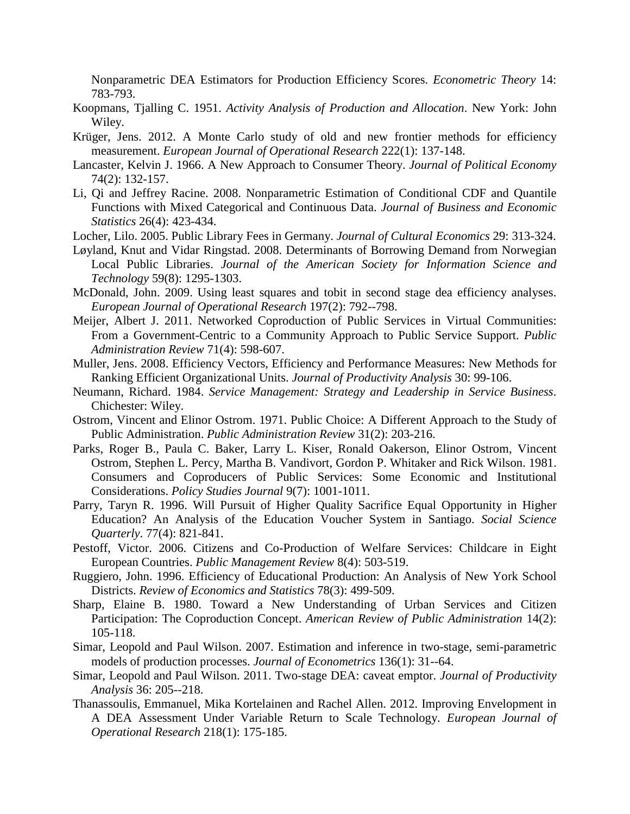Nonparametric DEA Estimators for Production Efficiency Scores. *Econometric Theory* 14: 783-793.

- Koopmans, Tjalling C. 1951. *Activity Analysis of Production and Allocation*. New York: John Wiley.
- Krüger, Jens. 2012. A Monte Carlo study of old and new frontier methods for efficiency measurement. *European Journal of Operational Research* 222(1): 137-148.
- Lancaster, Kelvin J. 1966. A New Approach to Consumer Theory. *Journal of Political Economy* 74(2): 132-157.
- Li, Qi and Jeffrey Racine. 2008. Nonparametric Estimation of Conditional CDF and Quantile Functions with Mixed Categorical and Continuous Data. *Journal of Business and Economic Statistics* 26(4): 423-434.
- Locher, Lilo. 2005. Public Library Fees in Germany. *Journal of Cultural Economics* 29: 313-324.
- Løyland, Knut and Vidar Ringstad. 2008. Determinants of Borrowing Demand from Norwegian Local Public Libraries. *Journal of the American Society for Information Science and Technology* 59(8): 1295-1303.
- McDonald, John. 2009. Using least squares and tobit in second stage dea efficiency analyses. *European Journal of Operational Research* 197(2): 792--798.
- Meijer, Albert J. 2011. Networked Coproduction of Public Services in Virtual Communities: From a Government-Centric to a Community Approach to Public Service Support. *Public Administration Review* 71(4): 598-607.
- Muller, Jens. 2008. Efficiency Vectors, Efficiency and Performance Measures: New Methods for Ranking Efficient Organizational Units. *Journal of Productivity Analysis* 30: 99-106.
- Neumann, Richard. 1984. *Service Management: Strategy and Leadership in Service Business*. Chichester: Wiley.
- Ostrom, Vincent and Elinor Ostrom. 1971. Public Choice: A Different Approach to the Study of Public Administration. *Public Administration Review* 31(2): 203-216.
- Parks, Roger B., Paula C. Baker, Larry L. Kiser, Ronald Oakerson, Elinor Ostrom, Vincent Ostrom, Stephen L. Percy, Martha B. Vandivort, Gordon P. Whitaker and Rick Wilson. 1981. Consumers and Coproducers of Public Services: Some Economic and Institutional Considerations. *Policy Studies Journal* 9(7): 1001-1011.
- Parry, Taryn R. 1996. Will Pursuit of Higher Quality Sacrifice Equal Opportunity in Higher Education? An Analysis of the Education Voucher System in Santiago. *Social Science Quarterly*. 77(4): 821-841.
- Pestoff, Victor. 2006. Citizens and Co-Production of Welfare Services: Childcare in Eight European Countries. *Public Management Review* 8(4): 503-519.
- Ruggiero, John. 1996. Efficiency of Educational Production: An Analysis of New York School Districts. *Review of Economics and Statistics* 78(3): 499-509.
- Sharp, Elaine B. 1980. Toward a New Understanding of Urban Services and Citizen Participation: The Coproduction Concept. *American Review of Public Administration* 14(2): 105-118.
- Simar, Leopold and Paul Wilson. 2007. Estimation and inference in two-stage, semi-parametric models of production processes. *Journal of Econometrics* 136(1): 31--64.
- Simar, Leopold and Paul Wilson. 2011. Two-stage DEA: caveat emptor. *Journal of Productivity Analysis* 36: 205--218.
- Thanassoulis, Emmanuel, Mika Kortelainen and Rachel Allen. 2012. Improving Envelopment in A DEA Assessment Under Variable Return to Scale Technology. *European Journal of Operational Research* 218(1): 175-185.